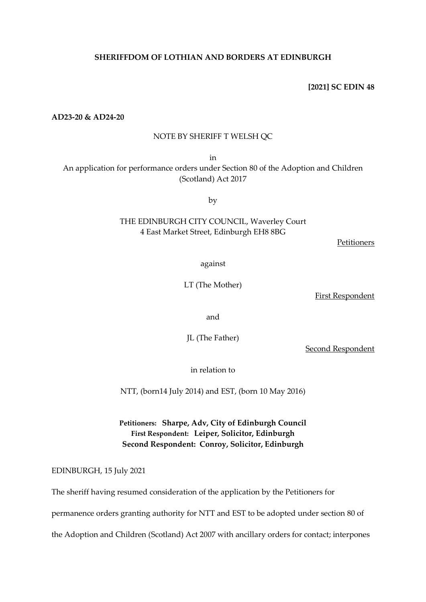# **SHERIFFDOM OF LOTHIAN AND BORDERS AT EDINBURGH**

**[2021] SC EDIN 48**

**AD23-20 & AD24-20**

### NOTE BY SHERIFF T WELSH QC

in

An application for performance orders under Section 80 of the Adoption and Children (Scotland) Act 2017

by

# THE EDINBURGH CITY COUNCIL, Waverley Court 4 East Market Street, Edinburgh EH8 8BG

Petitioners

against

LT (The Mother)

First Respondent

and

JL (The Father)

Second Respondent

in relation to

NTT, (born14 July 2014) and EST, (born 10 May 2016)

**Petitioners: Sharpe, Adv, City of Edinburgh Council First Respondent: Leiper, Solicitor, Edinburgh Second Respondent: Conroy, Solicitor, Edinburgh**

EDINBURGH, 15 July 2021

The sheriff having resumed consideration of the application by the Petitioners for

permanence orders granting authority for NTT and EST to be adopted under section 80 of

the Adoption and Children (Scotland) Act 2007 with ancillary orders for contact; interpones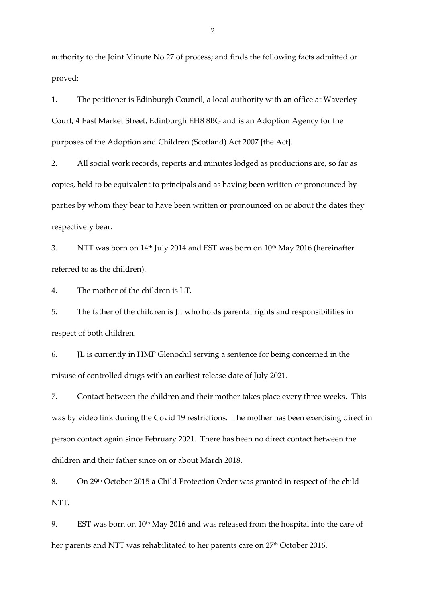authority to the Joint Minute No 27 of process; and finds the following facts admitted or proved:

1. The petitioner is Edinburgh Council, a local authority with an office at Waverley Court, 4 East Market Street, Edinburgh EH8 8BG and is an Adoption Agency for the purposes of the Adoption and Children (Scotland) Act 2007 [the Act].

2. All social work records, reports and minutes lodged as productions are, so far as copies, held to be equivalent to principals and as having been written or pronounced by parties by whom they bear to have been written or pronounced on or about the dates they respectively bear.

3. NTT was born on  $14<sup>th</sup>$  July 2014 and EST was born on  $10<sup>th</sup>$  May 2016 (hereinafter referred to as the children).

4. The mother of the children is LT.

5. The father of the children is JL who holds parental rights and responsibilities in respect of both children.

6. JL is currently in HMP Glenochil serving a sentence for being concerned in the misuse of controlled drugs with an earliest release date of July 2021.

7. Contact between the children and their mother takes place every three weeks. This was by video link during the Covid 19 restrictions. The mother has been exercising direct in person contact again since February 2021. There has been no direct contact between the children and their father since on or about March 2018.

8. On 29th October 2015 a Child Protection Order was granted in respect of the child NTT.

9. EST was born on 10<sup>th</sup> May 2016 and was released from the hospital into the care of her parents and NTT was rehabilitated to her parents care on 27<sup>th</sup> October 2016.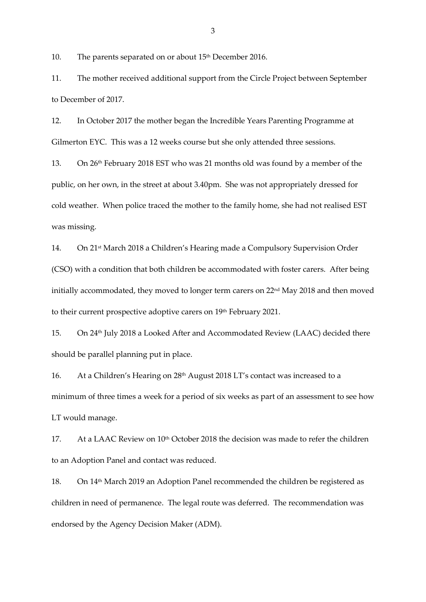10. The parents separated on or about 15<sup>th</sup> December 2016.

11. The mother received additional support from the Circle Project between September to December of 2017.

12. In October 2017 the mother began the Incredible Years Parenting Programme at Gilmerton EYC. This was a 12 weeks course but she only attended three sessions.

13. On 26th February 2018 EST who was 21 months old was found by a member of the public, on her own, in the street at about 3.40pm. She was not appropriately dressed for cold weather. When police traced the mother to the family home, she had not realised EST was missing.

14. On 21st March 2018 a Children's Hearing made a Compulsory Supervision Order (CSO) with a condition that both children be accommodated with foster carers. After being initially accommodated, they moved to longer term carers on 22<sup>nd</sup> May 2018 and then moved to their current prospective adoptive carers on 19<sup>th</sup> February 2021.

15. On 24th July 2018 a Looked After and Accommodated Review (LAAC) decided there should be parallel planning put in place.

16. At a Children's Hearing on 28th August 2018 LT's contact was increased to a minimum of three times a week for a period of six weeks as part of an assessment to see how LT would manage.

17. At a LAAC Review on 10<sup>th</sup> October 2018 the decision was made to refer the children to an Adoption Panel and contact was reduced.

18. On 14th March 2019 an Adoption Panel recommended the children be registered as children in need of permanence. The legal route was deferred. The recommendation was endorsed by the Agency Decision Maker (ADM).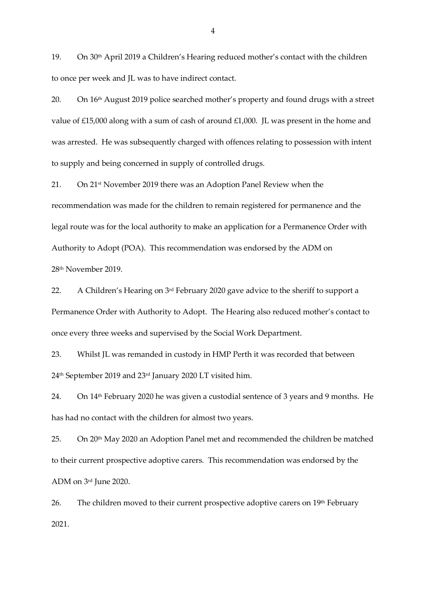19. On 30th April 2019 a Children's Hearing reduced mother's contact with the children to once per week and JL was to have indirect contact.

20. On 16<sup>th</sup> August 2019 police searched mother's property and found drugs with a street value of £15,000 along with a sum of cash of around £1,000. JL was present in the home and was arrested. He was subsequently charged with offences relating to possession with intent to supply and being concerned in supply of controlled drugs.

21. On 21st November 2019 there was an Adoption Panel Review when the recommendation was made for the children to remain registered for permanence and the legal route was for the local authority to make an application for a Permanence Order with Authority to Adopt (POA). This recommendation was endorsed by the ADM on 28th November 2019.

22. A Children's Hearing on 3<sup>rd</sup> February 2020 gave advice to the sheriff to support a Permanence Order with Authority to Adopt. The Hearing also reduced mother's contact to once every three weeks and supervised by the Social Work Department.

23. Whilst JL was remanded in custody in HMP Perth it was recorded that between 24th September 2019 and 23rd January 2020 LT visited him.

24. On 14th February 2020 he was given a custodial sentence of 3 years and 9 months. He has had no contact with the children for almost two years.

25. On 20th May 2020 an Adoption Panel met and recommended the children be matched to their current prospective adoptive carers. This recommendation was endorsed by the ADM on 3rd June 2020.

26. The children moved to their current prospective adoptive carers on 19<sup>th</sup> February 2021.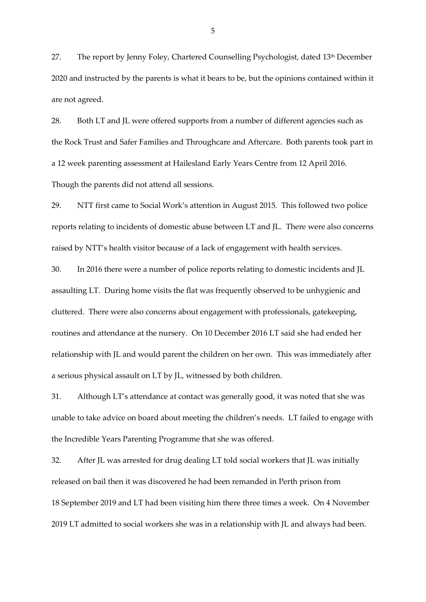27. The report by Jenny Foley, Chartered Counselling Psychologist, dated 13<sup>th</sup> December 2020 and instructed by the parents is what it bears to be, but the opinions contained within it are not agreed.

28. Both LT and JL were offered supports from a number of different agencies such as the Rock Trust and Safer Families and Throughcare and Aftercare. Both parents took part in a 12 week parenting assessment at Hailesland Early Years Centre from 12 April 2016. Though the parents did not attend all sessions.

29. NTT first came to Social Work's attention in August 2015. This followed two police reports relating to incidents of domestic abuse between LT and JL. There were also concerns raised by NTT's health visitor because of a lack of engagement with health services.

30. In 2016 there were a number of police reports relating to domestic incidents and JL assaulting LT. During home visits the flat was frequently observed to be unhygienic and cluttered. There were also concerns about engagement with professionals, gatekeeping, routines and attendance at the nursery. On 10 December 2016 LT said she had ended her relationship with JL and would parent the children on her own. This was immediately after a serious physical assault on LT by JL, witnessed by both children.

31. Although LT's attendance at contact was generally good, it was noted that she was unable to take advice on board about meeting the children's needs. LT failed to engage with the Incredible Years Parenting Programme that she was offered.

32. After JL was arrested for drug dealing LT told social workers that JL was initially released on bail then it was discovered he had been remanded in Perth prison from 18 September 2019 and LT had been visiting him there three times a week. On 4 November 2019 LT admitted to social workers she was in a relationship with JL and always had been.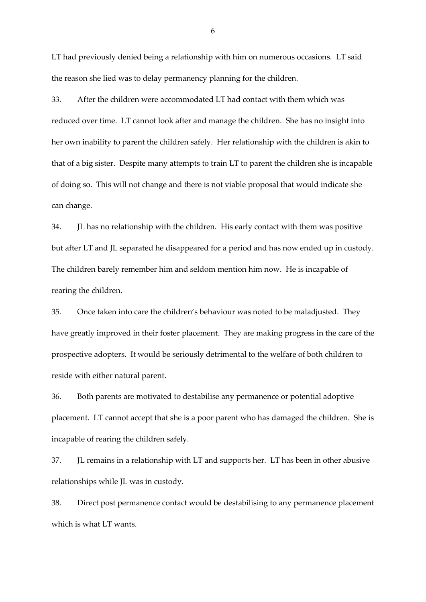LT had previously denied being a relationship with him on numerous occasions. LT said the reason she lied was to delay permanency planning for the children.

33. After the children were accommodated LT had contact with them which was reduced over time. LT cannot look after and manage the children. She has no insight into her own inability to parent the children safely. Her relationship with the children is akin to that of a big sister. Despite many attempts to train LT to parent the children she is incapable of doing so. This will not change and there is not viable proposal that would indicate she can change.

34. JL has no relationship with the children. His early contact with them was positive but after LT and JL separated he disappeared for a period and has now ended up in custody. The children barely remember him and seldom mention him now. He is incapable of rearing the children.

35. Once taken into care the children's behaviour was noted to be maladjusted. They have greatly improved in their foster placement. They are making progress in the care of the prospective adopters. It would be seriously detrimental to the welfare of both children to reside with either natural parent.

36. Both parents are motivated to destabilise any permanence or potential adoptive placement. LT cannot accept that she is a poor parent who has damaged the children. She is incapable of rearing the children safely.

37. JL remains in a relationship with LT and supports her. LT has been in other abusive relationships while JL was in custody.

38. Direct post permanence contact would be destabilising to any permanence placement which is what LT wants.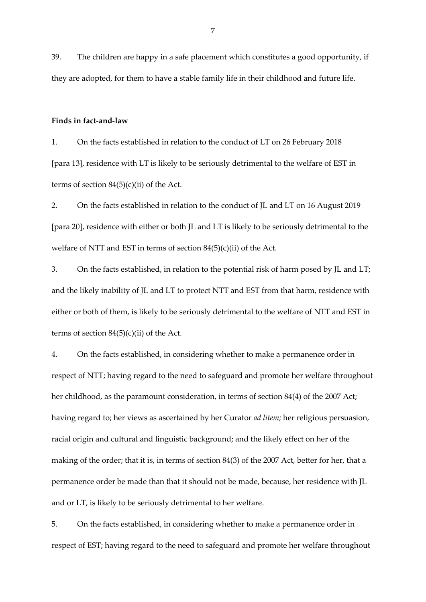39. The children are happy in a safe placement which constitutes a good opportunity, if they are adopted, for them to have a stable family life in their childhood and future life.

#### **Finds in fact-and-law**

1. On the facts established in relation to the conduct of LT on 26 February 2018 [para 13], residence with LT is likely to be seriously detrimental to the welfare of EST in terms of section  $84(5)(c)(ii)$  of the Act.

2. On the facts established in relation to the conduct of JL and LT on 16 August 2019 [para 20], residence with either or both JL and LT is likely to be seriously detrimental to the welfare of NTT and EST in terms of section 84(5)(c)(ii) of the Act.

3. On the facts established, in relation to the potential risk of harm posed by JL and LT; and the likely inability of JL and LT to protect NTT and EST from that harm, residence with either or both of them, is likely to be seriously detrimental to the welfare of NTT and EST in terms of section  $84(5)(c)(ii)$  of the Act.

4. On the facts established, in considering whether to make a permanence order in respect of NTT; having regard to the need to safeguard and promote her welfare throughout her childhood, as the paramount consideration, in terms of section 84(4) of the 2007 Act; having regard to; her views as ascertained by her Curator *ad litem;* her religious persuasion, racial origin and cultural and linguistic background; and the likely effect on her of the making of the order; that it is, in terms of section 84(3) of the 2007 Act, better for her, that a permanence order be made than that it should not be made, because, her residence with JL and or LT, is likely to be seriously detrimental to her welfare.

5. On the facts established, in considering whether to make a permanence order in respect of EST; having regard to the need to safeguard and promote her welfare throughout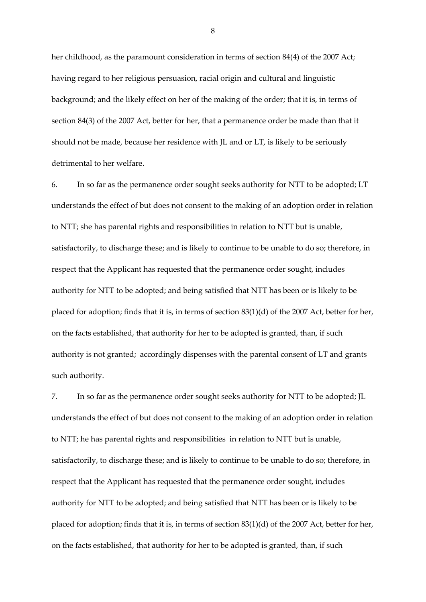her childhood, as the paramount consideration in terms of section 84(4) of the 2007 Act; having regard to her religious persuasion, racial origin and cultural and linguistic background; and the likely effect on her of the making of the order; that it is, in terms of section 84(3) of the 2007 Act, better for her, that a permanence order be made than that it should not be made, because her residence with JL and or LT, is likely to be seriously detrimental to her welfare.

6. In so far as the permanence order sought seeks authority for NTT to be adopted; LT understands the effect of but does not consent to the making of an adoption order in relation to NTT; she has parental rights and responsibilities in relation to NTT but is unable, satisfactorily, to discharge these; and is likely to continue to be unable to do so; therefore, in respect that the Applicant has requested that the permanence order sought, includes authority for NTT to be adopted; and being satisfied that NTT has been or is likely to be placed for adoption; finds that it is, in terms of section 83(1)(d) of the 2007 Act, better for her, on the facts established, that authority for her to be adopted is granted, than, if such authority is not granted; accordingly dispenses with the parental consent of LT and grants such authority.

7. In so far as the permanence order sought seeks authority for NTT to be adopted; JL understands the effect of but does not consent to the making of an adoption order in relation to NTT; he has parental rights and responsibilities in relation to NTT but is unable, satisfactorily, to discharge these; and is likely to continue to be unable to do so; therefore, in respect that the Applicant has requested that the permanence order sought, includes authority for NTT to be adopted; and being satisfied that NTT has been or is likely to be placed for adoption; finds that it is, in terms of section 83(1)(d) of the 2007 Act, better for her, on the facts established, that authority for her to be adopted is granted, than, if such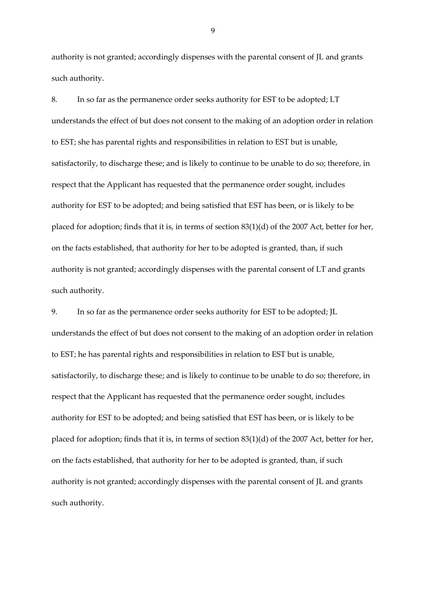authority is not granted; accordingly dispenses with the parental consent of JL and grants such authority.

8. In so far as the permanence order seeks authority for EST to be adopted; LT understands the effect of but does not consent to the making of an adoption order in relation to EST; she has parental rights and responsibilities in relation to EST but is unable, satisfactorily, to discharge these; and is likely to continue to be unable to do so; therefore, in respect that the Applicant has requested that the permanence order sought, includes authority for EST to be adopted; and being satisfied that EST has been, or is likely to be placed for adoption; finds that it is, in terms of section 83(1)(d) of the 2007 Act, better for her, on the facts established, that authority for her to be adopted is granted, than, if such authority is not granted; accordingly dispenses with the parental consent of LT and grants such authority.

9. In so far as the permanence order seeks authority for EST to be adopted; JL understands the effect of but does not consent to the making of an adoption order in relation to EST; he has parental rights and responsibilities in relation to EST but is unable, satisfactorily, to discharge these; and is likely to continue to be unable to do so; therefore, in respect that the Applicant has requested that the permanence order sought, includes authority for EST to be adopted; and being satisfied that EST has been, or is likely to be placed for adoption; finds that it is, in terms of section 83(1)(d) of the 2007 Act, better for her, on the facts established, that authority for her to be adopted is granted, than, if such authority is not granted; accordingly dispenses with the parental consent of JL and grants such authority.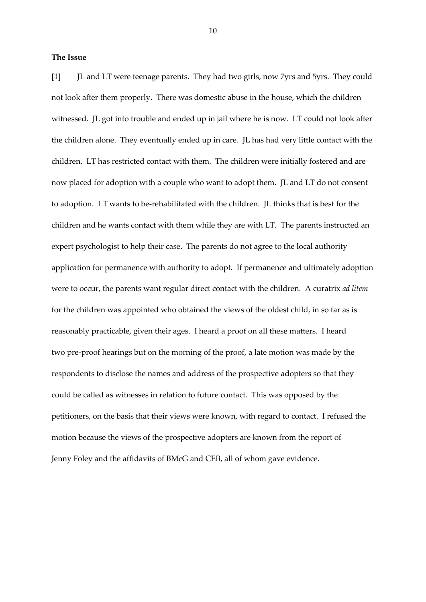## **The Issue**

[1] JL and LT were teenage parents. They had two girls, now 7yrs and 5yrs. They could not look after them properly. There was domestic abuse in the house, which the children witnessed. JL got into trouble and ended up in jail where he is now. LT could not look after the children alone. They eventually ended up in care. JL has had very little contact with the children. LT has restricted contact with them. The children were initially fostered and are now placed for adoption with a couple who want to adopt them. JL and LT do not consent to adoption. LT wants to be-rehabilitated with the children. JL thinks that is best for the children and he wants contact with them while they are with LT. The parents instructed an expert psychologist to help their case. The parents do not agree to the local authority application for permanence with authority to adopt. If permanence and ultimately adoption were to occur, the parents want regular direct contact with the children. A curatrix *ad litem* for the children was appointed who obtained the views of the oldest child, in so far as is reasonably practicable, given their ages. I heard a proof on all these matters. I heard two pre-proof hearings but on the morning of the proof, a late motion was made by the respondents to disclose the names and address of the prospective adopters so that they could be called as witnesses in relation to future contact. This was opposed by the petitioners, on the basis that their views were known, with regard to contact. I refused the motion because the views of the prospective adopters are known from the report of Jenny Foley and the affidavits of BMcG and CEB, all of whom gave evidence.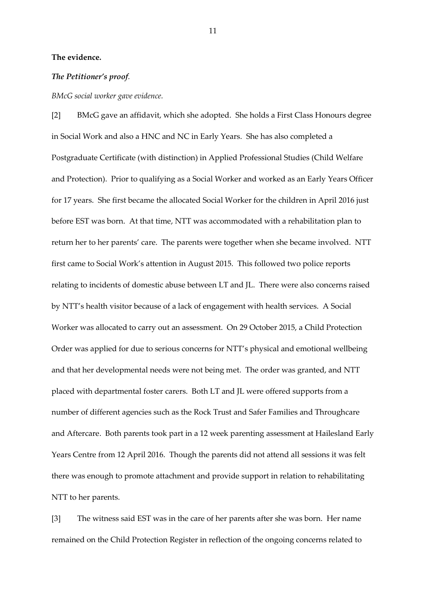## **The evidence.**

## *The Petitioner's proof.*

#### *BMcG social worker gave evidence.*

[2] BMcG gave an affidavit, which she adopted. She holds a First Class Honours degree in Social Work and also a HNC and NC in Early Years. She has also completed a Postgraduate Certificate (with distinction) in Applied Professional Studies (Child Welfare and Protection). Prior to qualifying as a Social Worker and worked as an Early Years Officer for 17 years. She first became the allocated Social Worker for the children in April 2016 just before EST was born. At that time, NTT was accommodated with a rehabilitation plan to return her to her parents' care. The parents were together when she became involved. NTT first came to Social Work's attention in August 2015. This followed two police reports relating to incidents of domestic abuse between LT and JL. There were also concerns raised by NTT's health visitor because of a lack of engagement with health services. A Social Worker was allocated to carry out an assessment. On 29 October 2015, a Child Protection Order was applied for due to serious concerns for NTT's physical and emotional wellbeing and that her developmental needs were not being met. The order was granted, and NTT placed with departmental foster carers. Both LT and JL were offered supports from a number of different agencies such as the Rock Trust and Safer Families and Throughcare and Aftercare. Both parents took part in a 12 week parenting assessment at Hailesland Early Years Centre from 12 April 2016. Though the parents did not attend all sessions it was felt there was enough to promote attachment and provide support in relation to rehabilitating NTT to her parents.

[3] The witness said EST was in the care of her parents after she was born. Her name remained on the Child Protection Register in reflection of the ongoing concerns related to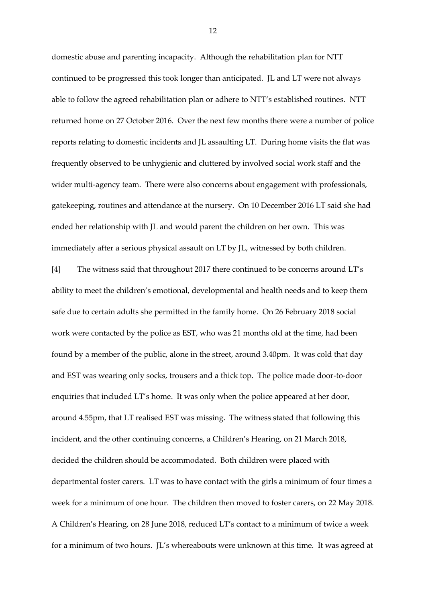domestic abuse and parenting incapacity. Although the rehabilitation plan for NTT continued to be progressed this took longer than anticipated. JL and LT were not always able to follow the agreed rehabilitation plan or adhere to NTT's established routines. NTT returned home on 27 October 2016. Over the next few months there were a number of police reports relating to domestic incidents and JL assaulting LT. During home visits the flat was frequently observed to be unhygienic and cluttered by involved social work staff and the wider multi-agency team. There were also concerns about engagement with professionals, gatekeeping, routines and attendance at the nursery. On 10 December 2016 LT said she had ended her relationship with JL and would parent the children on her own. This was immediately after a serious physical assault on LT by JL, witnessed by both children.

[4] The witness said that throughout 2017 there continued to be concerns around LT's ability to meet the children's emotional, developmental and health needs and to keep them safe due to certain adults she permitted in the family home. On 26 February 2018 social work were contacted by the police as EST, who was 21 months old at the time, had been found by a member of the public, alone in the street, around 3.40pm. It was cold that day and EST was wearing only socks, trousers and a thick top. The police made door-to-door enquiries that included LT's home. It was only when the police appeared at her door, around 4.55pm, that LT realised EST was missing. The witness stated that following this incident, and the other continuing concerns, a Children's Hearing, on 21 March 2018, decided the children should be accommodated. Both children were placed with departmental foster carers. LT was to have contact with the girls a minimum of four times a week for a minimum of one hour. The children then moved to foster carers, on 22 May 2018. A Children's Hearing, on 28 June 2018, reduced LT's contact to a minimum of twice a week for a minimum of two hours. JL's whereabouts were unknown at this time. It was agreed at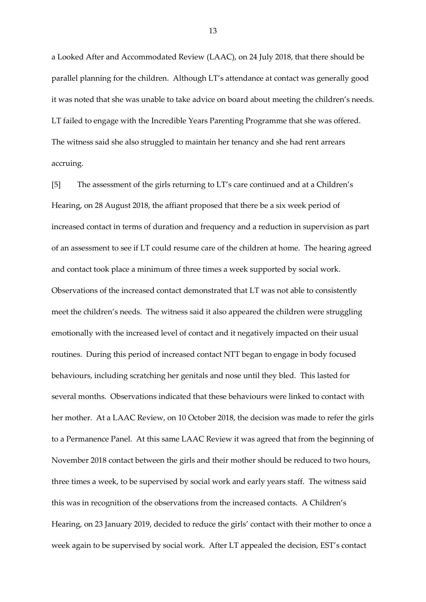a Looked After and Accommodated Review (LAAC), on 24 July 2018, that there should be parallel planning for the children. Although LT's attendance at contact was generally good it was noted that she was unable to take advice on board about meeting the children's needs. LT failed to engage with the Incredible Years Parenting Programme that she was offered. The witness said she also struggled to maintain her tenancy and she had rent arrears accruing.

[5] The assessment of the girls returning to LT's care continued and at a Children's Hearing, on 28 August 2018, the affiant proposed that there be a six week period of increased contact in terms of duration and frequency and a reduction in supervision as part of an assessment to see if LT could resume care of the children at home. The hearing agreed and contact took place a minimum of three times a week supported by social work. Observations of the increased contact demonstrated that LT was not able to consistently meet the children's needs. The witness said it also appeared the children were struggling emotionally with the increased level of contact and it negatively impacted on their usual routines. During this period of increased contact NTT began to engage in body focused behaviours, including scratching her genitals and nose until they bled. This lasted for several months. Observations indicated that these behaviours were linked to contact with her mother. At a LAAC Review, on 10 October 2018, the decision was made to refer the girls to a Permanence Panel. At this same LAAC Review it was agreed that from the beginning of November 2018 contact between the girls and their mother should be reduced to two hours, three times a week, to be supervised by social work and early years staff. The witness said this was in recognition of the observations from the increased contacts. A Children's Hearing, on 23 January 2019, decided to reduce the girls' contact with their mother to once a week again to be supervised by social work. After LT appealed the decision, EST's contact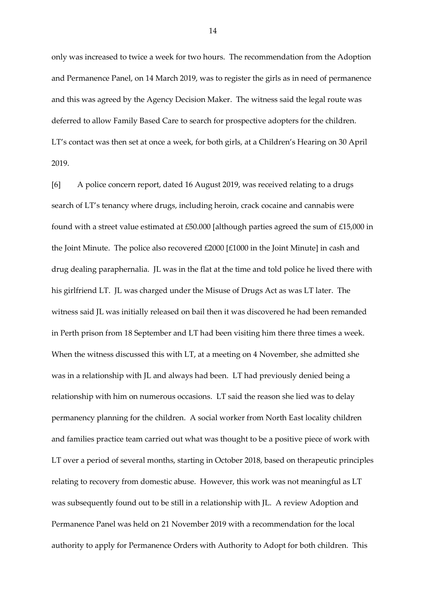only was increased to twice a week for two hours. The recommendation from the Adoption and Permanence Panel, on 14 March 2019, was to register the girls as in need of permanence and this was agreed by the Agency Decision Maker. The witness said the legal route was deferred to allow Family Based Care to search for prospective adopters for the children. LT's contact was then set at once a week, for both girls, at a Children's Hearing on 30 April 2019.

[6] A police concern report, dated 16 August 2019, was received relating to a drugs search of LT's tenancy where drugs, including heroin, crack cocaine and cannabis were found with a street value estimated at £50.000 [although parties agreed the sum of £15,000 in the Joint Minute. The police also recovered £2000 [£1000 in the Joint Minute] in cash and drug dealing paraphernalia. JL was in the flat at the time and told police he lived there with his girlfriend LT. JL was charged under the Misuse of Drugs Act as was LT later. The witness said JL was initially released on bail then it was discovered he had been remanded in Perth prison from 18 September and LT had been visiting him there three times a week. When the witness discussed this with LT, at a meeting on 4 November, she admitted she was in a relationship with JL and always had been. LT had previously denied being a relationship with him on numerous occasions. LT said the reason she lied was to delay permanency planning for the children. A social worker from North East locality children and families practice team carried out what was thought to be a positive piece of work with LT over a period of several months, starting in October 2018, based on therapeutic principles relating to recovery from domestic abuse. However, this work was not meaningful as LT was subsequently found out to be still in a relationship with JL. A review Adoption and Permanence Panel was held on 21 November 2019 with a recommendation for the local authority to apply for Permanence Orders with Authority to Adopt for both children. This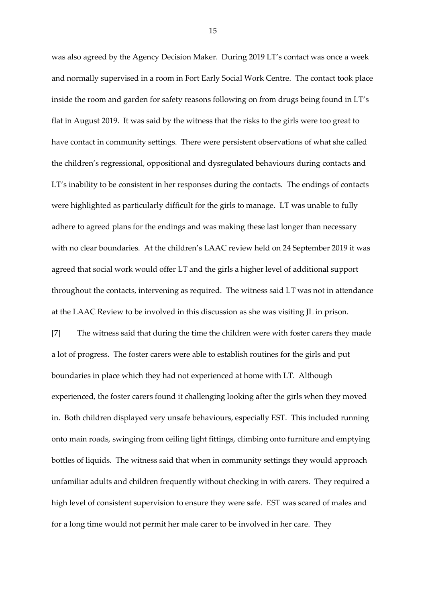was also agreed by the Agency Decision Maker. During 2019 LT's contact was once a week and normally supervised in a room in Fort Early Social Work Centre. The contact took place inside the room and garden for safety reasons following on from drugs being found in LT's flat in August 2019. It was said by the witness that the risks to the girls were too great to have contact in community settings. There were persistent observations of what she called the children's regressional, oppositional and dysregulated behaviours during contacts and LT's inability to be consistent in her responses during the contacts. The endings of contacts were highlighted as particularly difficult for the girls to manage. LT was unable to fully adhere to agreed plans for the endings and was making these last longer than necessary with no clear boundaries. At the children's LAAC review held on 24 September 2019 it was agreed that social work would offer LT and the girls a higher level of additional support throughout the contacts, intervening as required. The witness said LT was not in attendance at the LAAC Review to be involved in this discussion as she was visiting JL in prison. [7] The witness said that during the time the children were with foster carers they made a lot of progress. The foster carers were able to establish routines for the girls and put boundaries in place which they had not experienced at home with LT. Although experienced, the foster carers found it challenging looking after the girls when they moved in. Both children displayed very unsafe behaviours, especially EST. This included running onto main roads, swinging from ceiling light fittings, climbing onto furniture and emptying bottles of liquids. The witness said that when in community settings they would approach

high level of consistent supervision to ensure they were safe. EST was scared of males and for a long time would not permit her male carer to be involved in her care. They

unfamiliar adults and children frequently without checking in with carers. They required a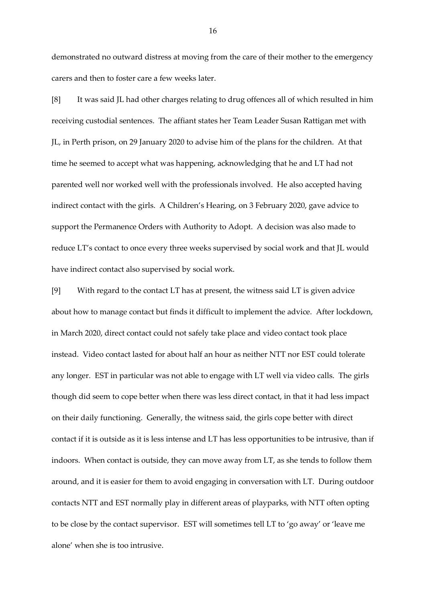demonstrated no outward distress at moving from the care of their mother to the emergency carers and then to foster care a few weeks later.

[8] It was said JL had other charges relating to drug offences all of which resulted in him receiving custodial sentences. The affiant states her Team Leader Susan Rattigan met with JL, in Perth prison, on 29 January 2020 to advise him of the plans for the children. At that time he seemed to accept what was happening, acknowledging that he and LT had not parented well nor worked well with the professionals involved. He also accepted having indirect contact with the girls. A Children's Hearing, on 3 February 2020, gave advice to support the Permanence Orders with Authority to Adopt. A decision was also made to reduce LT's contact to once every three weeks supervised by social work and that JL would have indirect contact also supervised by social work.

[9] With regard to the contact LT has at present, the witness said LT is given advice about how to manage contact but finds it difficult to implement the advice. After lockdown, in March 2020, direct contact could not safely take place and video contact took place instead. Video contact lasted for about half an hour as neither NTT nor EST could tolerate any longer. EST in particular was not able to engage with LT well via video calls. The girls though did seem to cope better when there was less direct contact, in that it had less impact on their daily functioning. Generally, the witness said, the girls cope better with direct contact if it is outside as it is less intense and LT has less opportunities to be intrusive, than if indoors. When contact is outside, they can move away from LT, as she tends to follow them around, and it is easier for them to avoid engaging in conversation with LT. During outdoor contacts NTT and EST normally play in different areas of playparks, with NTT often opting to be close by the contact supervisor. EST will sometimes tell LT to 'go away' or 'leave me alone' when she is too intrusive.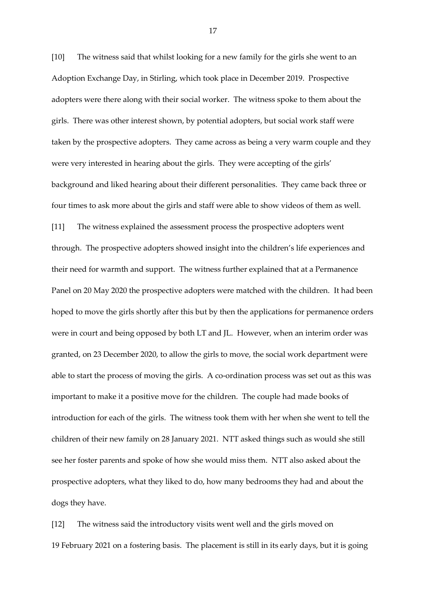[10] The witness said that whilst looking for a new family for the girls she went to an Adoption Exchange Day, in Stirling, which took place in December 2019. Prospective adopters were there along with their social worker. The witness spoke to them about the girls. There was other interest shown, by potential adopters, but social work staff were taken by the prospective adopters. They came across as being a very warm couple and they were very interested in hearing about the girls. They were accepting of the girls' background and liked hearing about their different personalities. They came back three or four times to ask more about the girls and staff were able to show videos of them as well. [11] The witness explained the assessment process the prospective adopters went through. The prospective adopters showed insight into the children's life experiences and their need for warmth and support. The witness further explained that at a Permanence Panel on 20 May 2020 the prospective adopters were matched with the children. It had been hoped to move the girls shortly after this but by then the applications for permanence orders were in court and being opposed by both LT and JL. However, when an interim order was granted, on 23 December 2020, to allow the girls to move, the social work department were able to start the process of moving the girls. A co-ordination process was set out as this was important to make it a positive move for the children. The couple had made books of introduction for each of the girls. The witness took them with her when she went to tell the children of their new family on 28 January 2021. NTT asked things such as would she still see her foster parents and spoke of how she would miss them. NTT also asked about the prospective adopters, what they liked to do, how many bedrooms they had and about the dogs they have.

[12] The witness said the introductory visits went well and the girls moved on 19 February 2021 on a fostering basis. The placement is still in its early days, but it is going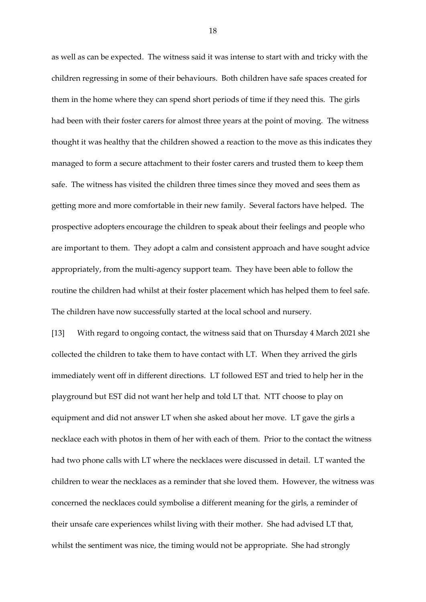as well as can be expected. The witness said it was intense to start with and tricky with the children regressing in some of their behaviours. Both children have safe spaces created for them in the home where they can spend short periods of time if they need this. The girls had been with their foster carers for almost three years at the point of moving. The witness thought it was healthy that the children showed a reaction to the move as this indicates they managed to form a secure attachment to their foster carers and trusted them to keep them safe. The witness has visited the children three times since they moved and sees them as getting more and more comfortable in their new family. Several factors have helped. The prospective adopters encourage the children to speak about their feelings and people who are important to them. They adopt a calm and consistent approach and have sought advice appropriately, from the multi-agency support team. They have been able to follow the routine the children had whilst at their foster placement which has helped them to feel safe. The children have now successfully started at the local school and nursery.

[13] With regard to ongoing contact, the witness said that on Thursday 4 March 2021 she collected the children to take them to have contact with LT. When they arrived the girls immediately went off in different directions. LT followed EST and tried to help her in the playground but EST did not want her help and told LT that. NTT choose to play on equipment and did not answer LT when she asked about her move. LT gave the girls a necklace each with photos in them of her with each of them. Prior to the contact the witness had two phone calls with LT where the necklaces were discussed in detail. LT wanted the children to wear the necklaces as a reminder that she loved them. However, the witness was concerned the necklaces could symbolise a different meaning for the girls, a reminder of their unsafe care experiences whilst living with their mother. She had advised LT that, whilst the sentiment was nice, the timing would not be appropriate. She had strongly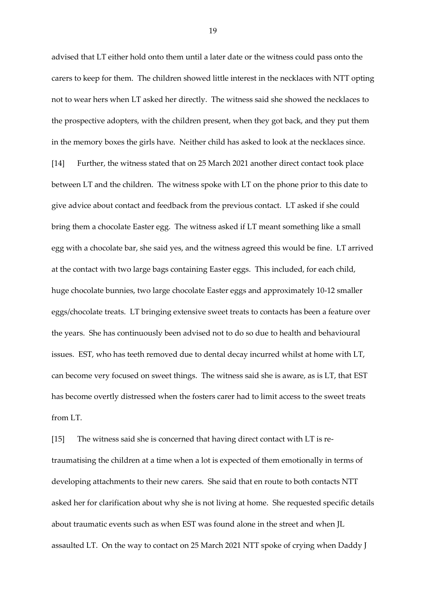advised that LT either hold onto them until a later date or the witness could pass onto the carers to keep for them. The children showed little interest in the necklaces with NTT opting not to wear hers when LT asked her directly. The witness said she showed the necklaces to the prospective adopters, with the children present, when they got back, and they put them in the memory boxes the girls have. Neither child has asked to look at the necklaces since. [14] Further, the witness stated that on 25 March 2021 another direct contact took place between LT and the children. The witness spoke with LT on the phone prior to this date to give advice about contact and feedback from the previous contact. LT asked if she could bring them a chocolate Easter egg. The witness asked if LT meant something like a small egg with a chocolate bar, she said yes, and the witness agreed this would be fine. LT arrived at the contact with two large bags containing Easter eggs. This included, for each child, huge chocolate bunnies, two large chocolate Easter eggs and approximately 10-12 smaller eggs/chocolate treats. LT bringing extensive sweet treats to contacts has been a feature over the years. She has continuously been advised not to do so due to health and behavioural issues. EST, who has teeth removed due to dental decay incurred whilst at home with LT, can become very focused on sweet things. The witness said she is aware, as is LT, that EST has become overtly distressed when the fosters carer had to limit access to the sweet treats from LT.

[15] The witness said she is concerned that having direct contact with LT is retraumatising the children at a time when a lot is expected of them emotionally in terms of developing attachments to their new carers. She said that en route to both contacts NTT asked her for clarification about why she is not living at home. She requested specific details about traumatic events such as when EST was found alone in the street and when JL assaulted LT. On the way to contact on 25 March 2021 NTT spoke of crying when Daddy J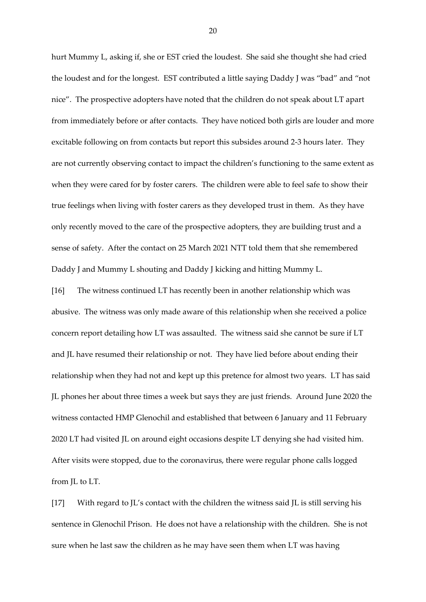hurt Mummy L, asking if, she or EST cried the loudest. She said she thought she had cried the loudest and for the longest. EST contributed a little saying Daddy J was "bad" and "not nice". The prospective adopters have noted that the children do not speak about LT apart from immediately before or after contacts. They have noticed both girls are louder and more excitable following on from contacts but report this subsides around 2-3 hours later. They are not currently observing contact to impact the children's functioning to the same extent as when they were cared for by foster carers. The children were able to feel safe to show their true feelings when living with foster carers as they developed trust in them. As they have only recently moved to the care of the prospective adopters, they are building trust and a sense of safety. After the contact on 25 March 2021 NTT told them that she remembered Daddy J and Mummy L shouting and Daddy J kicking and hitting Mummy L.

[16] The witness continued LT has recently been in another relationship which was abusive. The witness was only made aware of this relationship when she received a police concern report detailing how LT was assaulted. The witness said she cannot be sure if LT and JL have resumed their relationship or not. They have lied before about ending their relationship when they had not and kept up this pretence for almost two years. LT has said JL phones her about three times a week but says they are just friends. Around June 2020 the witness contacted HMP Glenochil and established that between 6 January and 11 February 2020 LT had visited JL on around eight occasions despite LT denying she had visited him. After visits were stopped, due to the coronavirus, there were regular phone calls logged from JL to LT.

[17] With regard to JL's contact with the children the witness said JL is still serving his sentence in Glenochil Prison. He does not have a relationship with the children. She is not sure when he last saw the children as he may have seen them when LT was having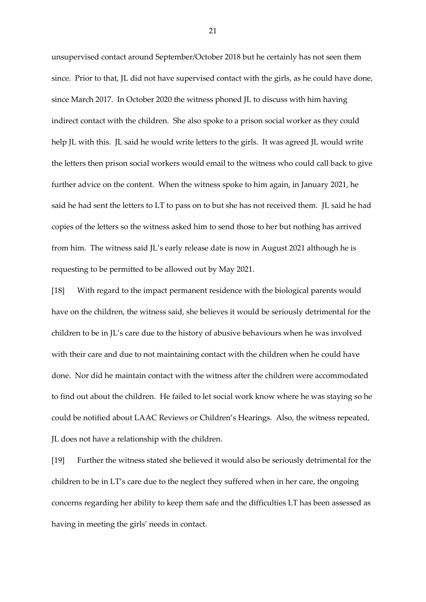unsupervised contact around September/October 2018 but he certainly has not seen them since. Prior to that, JL did not have supervised contact with the girls, as he could have done, since March 2017. In October 2020 the witness phoned JL to discuss with him having indirect contact with the children. She also spoke to a prison social worker as they could help JL with this. JL said he would write letters to the girls. It was agreed JL would write the letters then prison social workers would email to the witness who could call back to give further advice on the content. When the witness spoke to him again, in January 2021, he said he had sent the letters to LT to pass on to but she has not received them. JL said he had copies of the letters so the witness asked him to send those to her but nothing has arrived from him. The witness said JL's early release date is now in August 2021 although he is requesting to be permitted to be allowed out by May 2021.

[18] With regard to the impact permanent residence with the biological parents would have on the children, the witness said, she believes it would be seriously detrimental for the children to be in JL's care due to the history of abusive behaviours when he was involved with their care and due to not maintaining contact with the children when he could have done. Nor did he maintain contact with the witness after the children were accommodated to find out about the children. He failed to let social work know where he was staying so he could be notified about LAAC Reviews or Children's Hearings. Also, the witness repeated, JL does not have a relationship with the children.

[19] Further the witness stated she believed it would also be seriously detrimental for the children to be in LT's care due to the neglect they suffered when in her care, the ongoing concerns regarding her ability to keep them safe and the difficulties LT has been assessed as having in meeting the girls' needs in contact.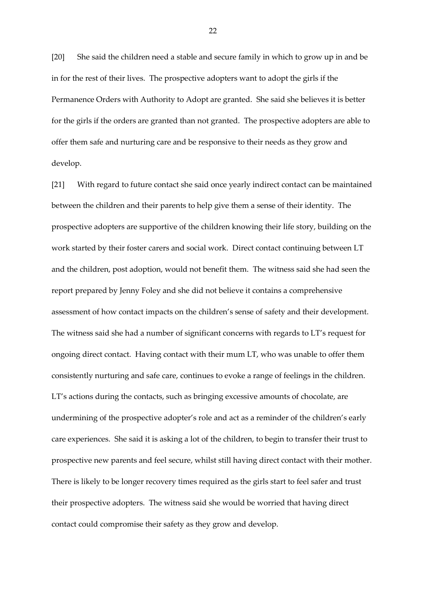[20] She said the children need a stable and secure family in which to grow up in and be in for the rest of their lives. The prospective adopters want to adopt the girls if the Permanence Orders with Authority to Adopt are granted. She said she believes it is better for the girls if the orders are granted than not granted. The prospective adopters are able to offer them safe and nurturing care and be responsive to their needs as they grow and develop.

[21] With regard to future contact she said once yearly indirect contact can be maintained between the children and their parents to help give them a sense of their identity. The prospective adopters are supportive of the children knowing their life story, building on the work started by their foster carers and social work. Direct contact continuing between LT and the children, post adoption, would not benefit them. The witness said she had seen the report prepared by Jenny Foley and she did not believe it contains a comprehensive assessment of how contact impacts on the children's sense of safety and their development. The witness said she had a number of significant concerns with regards to LT's request for ongoing direct contact. Having contact with their mum LT, who was unable to offer them consistently nurturing and safe care, continues to evoke a range of feelings in the children. LT's actions during the contacts, such as bringing excessive amounts of chocolate, are undermining of the prospective adopter's role and act as a reminder of the children's early care experiences. She said it is asking a lot of the children, to begin to transfer their trust to prospective new parents and feel secure, whilst still having direct contact with their mother. There is likely to be longer recovery times required as the girls start to feel safer and trust their prospective adopters. The witness said she would be worried that having direct contact could compromise their safety as they grow and develop.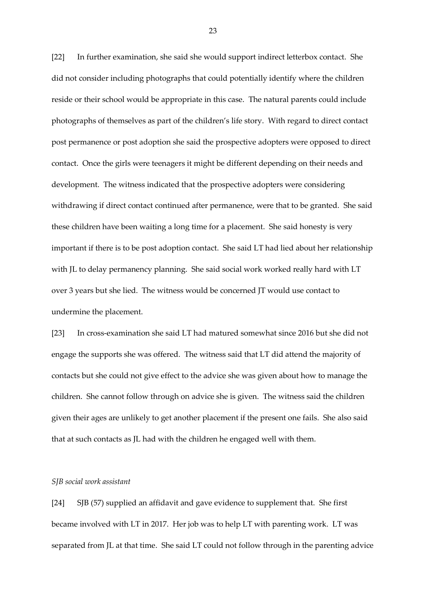[22] In further examination, she said she would support indirect letterbox contact. She did not consider including photographs that could potentially identify where the children reside or their school would be appropriate in this case. The natural parents could include photographs of themselves as part of the children's life story. With regard to direct contact post permanence or post adoption she said the prospective adopters were opposed to direct contact. Once the girls were teenagers it might be different depending on their needs and development. The witness indicated that the prospective adopters were considering withdrawing if direct contact continued after permanence, were that to be granted. She said these children have been waiting a long time for a placement. She said honesty is very important if there is to be post adoption contact. She said LT had lied about her relationship with JL to delay permanency planning. She said social work worked really hard with LT over 3 years but she lied. The witness would be concerned JT would use contact to undermine the placement.

[23] In cross-examination she said LT had matured somewhat since 2016 but she did not engage the supports she was offered. The witness said that LT did attend the majority of contacts but she could not give effect to the advice she was given about how to manage the children. She cannot follow through on advice she is given. The witness said the children given their ages are unlikely to get another placement if the present one fails. She also said that at such contacts as JL had with the children he engaged well with them.

# *SJB social work assistant*

[24] SJB (57) supplied an affidavit and gave evidence to supplement that. She first became involved with LT in 2017. Her job was to help LT with parenting work. LT was separated from JL at that time. She said LT could not follow through in the parenting advice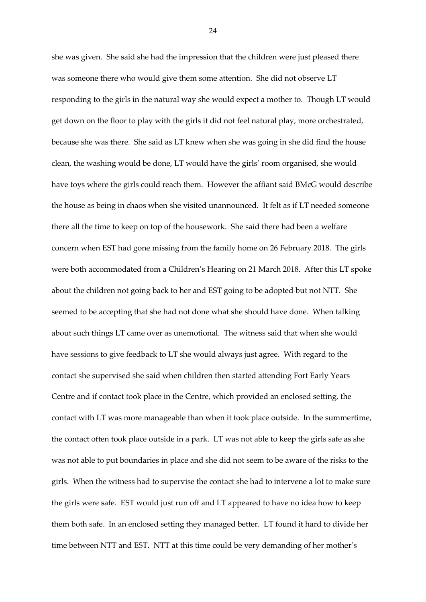she was given. She said she had the impression that the children were just pleased there was someone there who would give them some attention. She did not observe LT responding to the girls in the natural way she would expect a mother to. Though LT would get down on the floor to play with the girls it did not feel natural play, more orchestrated, because she was there. She said as LT knew when she was going in she did find the house clean, the washing would be done, LT would have the girls' room organised, she would have toys where the girls could reach them. However the affiant said BMcG would describe the house as being in chaos when she visited unannounced. It felt as if LT needed someone there all the time to keep on top of the housework. She said there had been a welfare concern when EST had gone missing from the family home on 26 February 2018. The girls were both accommodated from a Children's Hearing on 21 March 2018. After this LT spoke about the children not going back to her and EST going to be adopted but not NTT. She seemed to be accepting that she had not done what she should have done. When talking about such things LT came over as unemotional. The witness said that when she would have sessions to give feedback to LT she would always just agree. With regard to the contact she supervised she said when children then started attending Fort Early Years Centre and if contact took place in the Centre, which provided an enclosed setting, the contact with LT was more manageable than when it took place outside. In the summertime, the contact often took place outside in a park. LT was not able to keep the girls safe as she was not able to put boundaries in place and she did not seem to be aware of the risks to the girls. When the witness had to supervise the contact she had to intervene a lot to make sure the girls were safe. EST would just run off and LT appeared to have no idea how to keep them both safe. In an enclosed setting they managed better. LT found it hard to divide her time between NTT and EST. NTT at this time could be very demanding of her mother's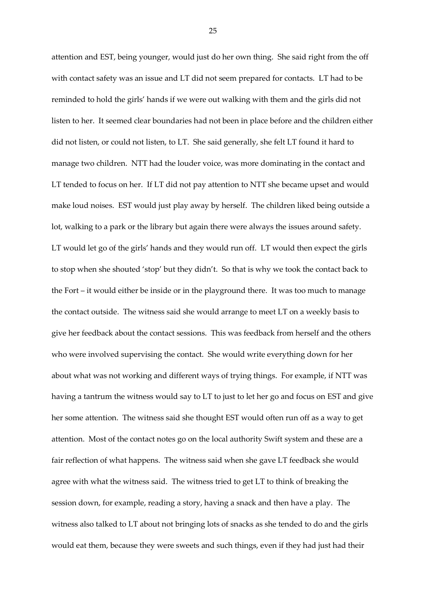attention and EST, being younger, would just do her own thing. She said right from the off with contact safety was an issue and LT did not seem prepared for contacts. LT had to be reminded to hold the girls' hands if we were out walking with them and the girls did not listen to her. It seemed clear boundaries had not been in place before and the children either did not listen, or could not listen, to LT. She said generally, she felt LT found it hard to manage two children. NTT had the louder voice, was more dominating in the contact and LT tended to focus on her. If LT did not pay attention to NTT she became upset and would make loud noises. EST would just play away by herself. The children liked being outside a lot, walking to a park or the library but again there were always the issues around safety. LT would let go of the girls' hands and they would run off. LT would then expect the girls to stop when she shouted 'stop' but they didn't. So that is why we took the contact back to the Fort – it would either be inside or in the playground there. It was too much to manage the contact outside. The witness said she would arrange to meet LT on a weekly basis to give her feedback about the contact sessions. This was feedback from herself and the others who were involved supervising the contact. She would write everything down for her about what was not working and different ways of trying things. For example, if NTT was having a tantrum the witness would say to LT to just to let her go and focus on EST and give her some attention. The witness said she thought EST would often run off as a way to get attention. Most of the contact notes go on the local authority Swift system and these are a fair reflection of what happens. The witness said when she gave LT feedback she would agree with what the witness said. The witness tried to get LT to think of breaking the session down, for example, reading a story, having a snack and then have a play. The witness also talked to LT about not bringing lots of snacks as she tended to do and the girls would eat them, because they were sweets and such things, even if they had just had their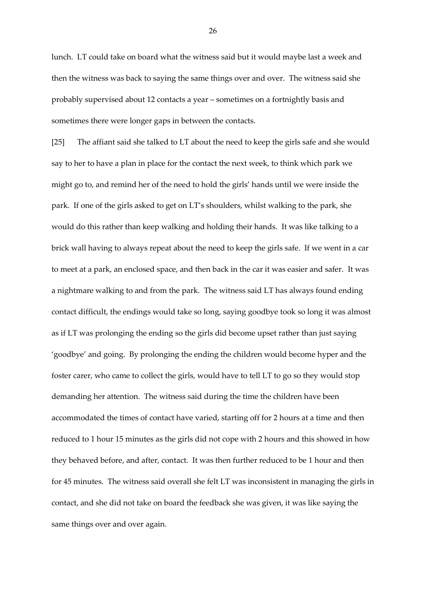lunch. LT could take on board what the witness said but it would maybe last a week and then the witness was back to saying the same things over and over. The witness said she probably supervised about 12 contacts a year – sometimes on a fortnightly basis and sometimes there were longer gaps in between the contacts.

[25] The affiant said she talked to LT about the need to keep the girls safe and she would say to her to have a plan in place for the contact the next week, to think which park we might go to, and remind her of the need to hold the girls' hands until we were inside the park. If one of the girls asked to get on LT's shoulders, whilst walking to the park, she would do this rather than keep walking and holding their hands. It was like talking to a brick wall having to always repeat about the need to keep the girls safe. If we went in a car to meet at a park, an enclosed space, and then back in the car it was easier and safer. It was a nightmare walking to and from the park. The witness said LT has always found ending contact difficult, the endings would take so long, saying goodbye took so long it was almost as if LT was prolonging the ending so the girls did become upset rather than just saying 'goodbye' and going. By prolonging the ending the children would become hyper and the foster carer, who came to collect the girls, would have to tell LT to go so they would stop demanding her attention. The witness said during the time the children have been accommodated the times of contact have varied, starting off for 2 hours at a time and then reduced to 1 hour 15 minutes as the girls did not cope with 2 hours and this showed in how they behaved before, and after, contact. It was then further reduced to be 1 hour and then for 45 minutes. The witness said overall she felt LT was inconsistent in managing the girls in contact, and she did not take on board the feedback she was given, it was like saying the same things over and over again.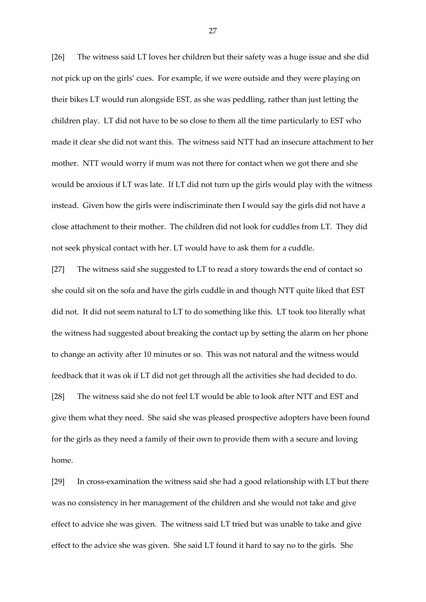[26] The witness said LT loves her children but their safety was a huge issue and she did not pick up on the girls' cues. For example, if we were outside and they were playing on their bikes LT would run alongside EST, as she was peddling, rather than just letting the children play. LT did not have to be so close to them all the time particularly to EST who made it clear she did not want this. The witness said NTT had an insecure attachment to her mother. NTT would worry if mum was not there for contact when we got there and she would be anxious if LT was late. If LT did not turn up the girls would play with the witness instead. Given how the girls were indiscriminate then I would say the girls did not have a close attachment to their mother. The children did not look for cuddles from LT. They did not seek physical contact with her. LT would have to ask them for a cuddle.

[27] The witness said she suggested to LT to read a story towards the end of contact so she could sit on the sofa and have the girls cuddle in and though NTT quite liked that EST did not. It did not seem natural to LT to do something like this. LT took too literally what the witness had suggested about breaking the contact up by setting the alarm on her phone to change an activity after 10 minutes or so. This was not natural and the witness would feedback that it was ok if LT did not get through all the activities she had decided to do. [28] The witness said she do not feel LT would be able to look after NTT and EST and give them what they need. She said she was pleased prospective adopters have been found for the girls as they need a family of their own to provide them with a secure and loving home.

[29] In cross-examination the witness said she had a good relationship with LT but there was no consistency in her management of the children and she would not take and give effect to advice she was given. The witness said LT tried but was unable to take and give effect to the advice she was given. She said LT found it hard to say no to the girls. She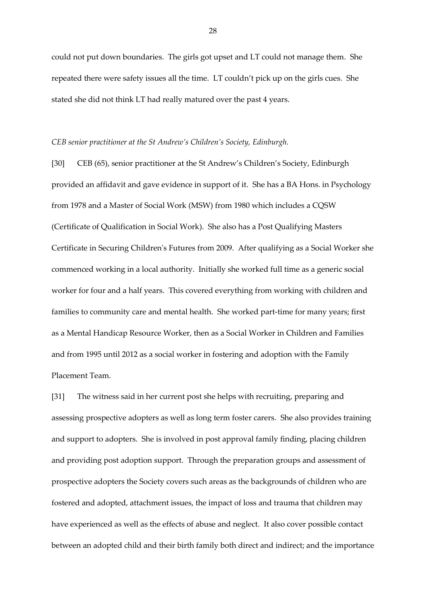could not put down boundaries. The girls got upset and LT could not manage them. She repeated there were safety issues all the time. LT couldn't pick up on the girls cues. She stated she did not think LT had really matured over the past 4 years.

#### *CEB senior practitioner at the St Andrew's Children's Society, Edinburgh.*

[30] CEB (65), senior practitioner at the St Andrew's Children's Society, Edinburgh provided an affidavit and gave evidence in support of it. She has a BA Hons. in Psychology from 1978 and a Master of Social Work (MSW) from 1980 which includes a CQSW (Certificate of Qualification in Social Work). She also has a Post Qualifying Masters Certificate in Securing Children's Futures from 2009. After qualifying as a Social Worker she commenced working in a local authority. Initially she worked full time as a generic social worker for four and a half years. This covered everything from working with children and families to community care and mental health. She worked part-time for many years; first as a Mental Handicap Resource Worker, then as a Social Worker in Children and Families and from 1995 until 2012 as a social worker in fostering and adoption with the Family Placement Team.

[31] The witness said in her current post she helps with recruiting, preparing and assessing prospective adopters as well as long term foster carers. She also provides training and support to adopters. She is involved in post approval family finding, placing children and providing post adoption support. Through the preparation groups and assessment of prospective adopters the Society covers such areas as the backgrounds of children who are fostered and adopted, attachment issues, the impact of loss and trauma that children may have experienced as well as the effects of abuse and neglect. It also cover possible contact between an adopted child and their birth family both direct and indirect; and the importance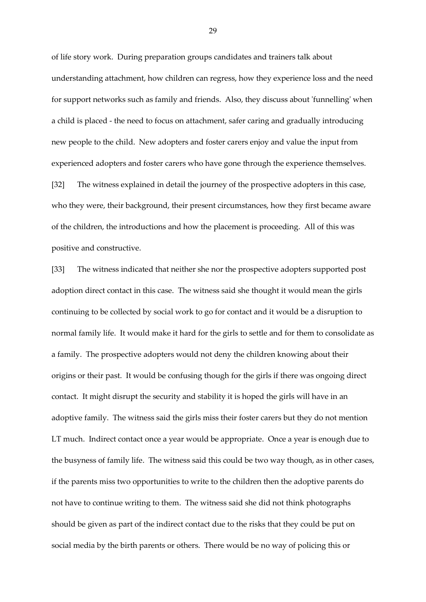of life story work. During preparation groups candidates and trainers talk about understanding attachment, how children can regress, how they experience loss and the need for support networks such as family and friends. Also, they discuss about 'funnelling' when a child is placed - the need to focus on attachment, safer caring and gradually introducing new people to the child. New adopters and foster carers enjoy and value the input from experienced adopters and foster carers who have gone through the experience themselves.

[32] The witness explained in detail the journey of the prospective adopters in this case, who they were, their background, their present circumstances, how they first became aware of the children, the introductions and how the placement is proceeding. All of this was positive and constructive.

[33] The witness indicated that neither she nor the prospective adopters supported post adoption direct contact in this case. The witness said she thought it would mean the girls continuing to be collected by social work to go for contact and it would be a disruption to normal family life. It would make it hard for the girls to settle and for them to consolidate as a family. The prospective adopters would not deny the children knowing about their origins or their past. It would be confusing though for the girls if there was ongoing direct contact. It might disrupt the security and stability it is hoped the girls will have in an adoptive family. The witness said the girls miss their foster carers but they do not mention LT much. Indirect contact once a year would be appropriate. Once a year is enough due to the busyness of family life. The witness said this could be two way though, as in other cases, if the parents miss two opportunities to write to the children then the adoptive parents do not have to continue writing to them. The witness said she did not think photographs should be given as part of the indirect contact due to the risks that they could be put on social media by the birth parents or others. There would be no way of policing this or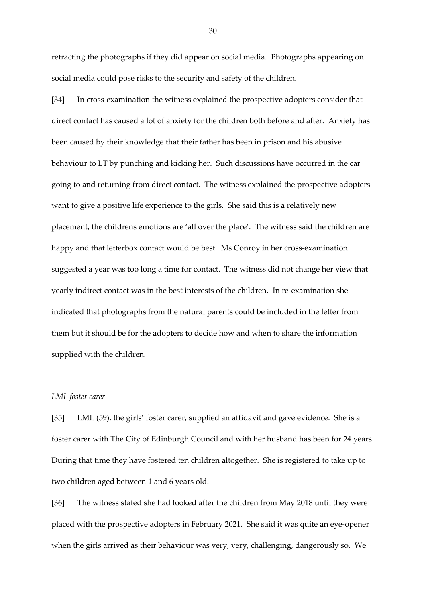retracting the photographs if they did appear on social media. Photographs appearing on social media could pose risks to the security and safety of the children.

[34] In cross-examination the witness explained the prospective adopters consider that direct contact has caused a lot of anxiety for the children both before and after. Anxiety has been caused by their knowledge that their father has been in prison and his abusive behaviour to LT by punching and kicking her. Such discussions have occurred in the car going to and returning from direct contact. The witness explained the prospective adopters want to give a positive life experience to the girls. She said this is a relatively new placement, the childrens emotions are 'all over the place'. The witness said the children are happy and that letterbox contact would be best. Ms Conroy in her cross-examination suggested a year was too long a time for contact. The witness did not change her view that yearly indirect contact was in the best interests of the children. In re-examination she indicated that photographs from the natural parents could be included in the letter from them but it should be for the adopters to decide how and when to share the information supplied with the children.

#### *LML foster carer*

[35] LML (59), the girls' foster carer, supplied an affidavit and gave evidence. She is a foster carer with The City of Edinburgh Council and with her husband has been for 24 years. During that time they have fostered ten children altogether. She is registered to take up to two children aged between 1 and 6 years old.

[36] The witness stated she had looked after the children from May 2018 until they were placed with the prospective adopters in February 2021. She said it was quite an eye-opener when the girls arrived as their behaviour was very, very, challenging, dangerously so. We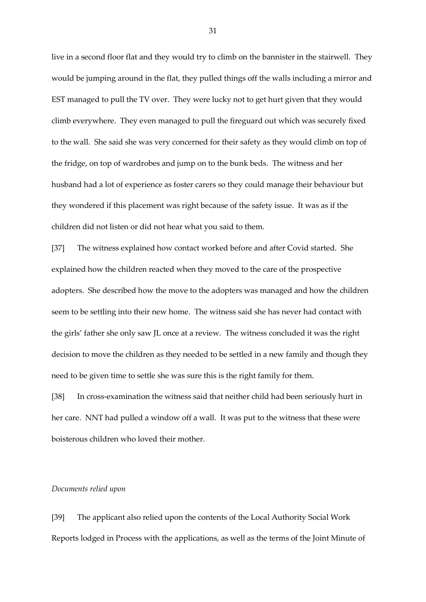live in a second floor flat and they would try to climb on the bannister in the stairwell. They would be jumping around in the flat, they pulled things off the walls including a mirror and EST managed to pull the TV over. They were lucky not to get hurt given that they would climb everywhere. They even managed to pull the fireguard out which was securely fixed to the wall. She said she was very concerned for their safety as they would climb on top of the fridge, on top of wardrobes and jump on to the bunk beds. The witness and her husband had a lot of experience as foster carers so they could manage their behaviour but they wondered if this placement was right because of the safety issue. It was as if the children did not listen or did not hear what you said to them.

[37] The witness explained how contact worked before and after Covid started. She explained how the children reacted when they moved to the care of the prospective adopters. She described how the move to the adopters was managed and how the children seem to be settling into their new home. The witness said she has never had contact with the girls' father she only saw JL once at a review. The witness concluded it was the right decision to move the children as they needed to be settled in a new family and though they need to be given time to settle she was sure this is the right family for them.

[38] In cross-examination the witness said that neither child had been seriously hurt in her care. NNT had pulled a window off a wall. It was put to the witness that these were boisterous children who loved their mother.

#### *Documents relied upon*

[39] The applicant also relied upon the contents of the Local Authority Social Work Reports lodged in Process with the applications, as well as the terms of the Joint Minute of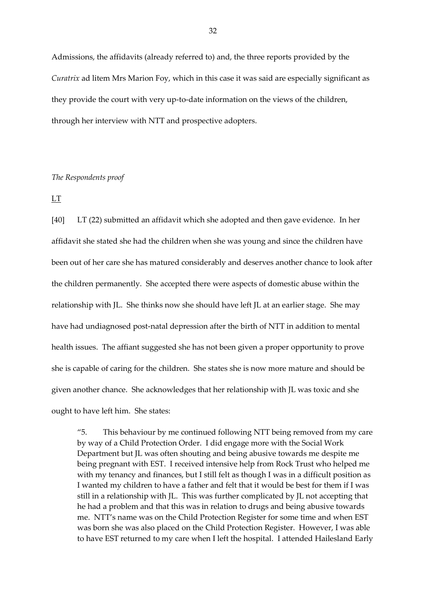Admissions, the affidavits (already referred to) and, the three reports provided by the *Curatrix* ad litem Mrs Marion Foy, which in this case it was said are especially significant as they provide the court with very up-to-date information on the views of the children, through her interview with NTT and prospective adopters.

# *The Respondents proof*

LT

[40] LT (22) submitted an affidavit which she adopted and then gave evidence. In her affidavit she stated she had the children when she was young and since the children have been out of her care she has matured considerably and deserves another chance to look after the children permanently. She accepted there were aspects of domestic abuse within the relationship with JL. She thinks now she should have left JL at an earlier stage. She may have had undiagnosed post-natal depression after the birth of NTT in addition to mental health issues. The affiant suggested she has not been given a proper opportunity to prove she is capable of caring for the children. She states she is now more mature and should be given another chance. She acknowledges that her relationship with JL was toxic and she ought to have left him. She states:

"5. This behaviour by me continued following NTT being removed from my care by way of a Child Protection Order. I did engage more with the Social Work Department but JL was often shouting and being abusive towards me despite me being pregnant with EST. I received intensive help from Rock Trust who helped me with my tenancy and finances, but I still felt as though I was in a difficult position as I wanted my children to have a father and felt that it would be best for them if I was still in a relationship with JL. This was further complicated by JL not accepting that he had a problem and that this was in relation to drugs and being abusive towards me. NTT's name was on the Child Protection Register for some time and when EST was born she was also placed on the Child Protection Register. However, I was able to have EST returned to my care when I left the hospital. I attended Hailesland Early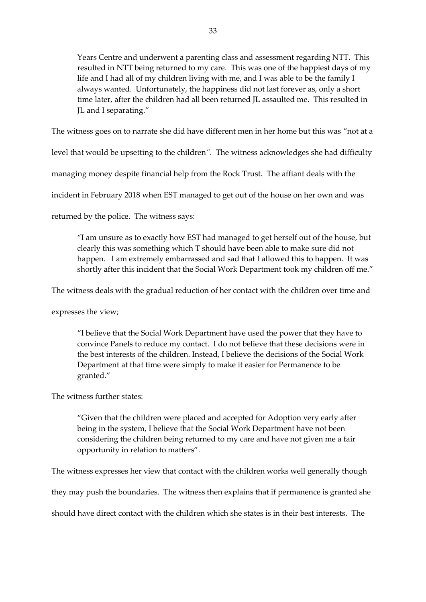Years Centre and underwent a parenting class and assessment regarding NTT. This resulted in NTT being returned to my care. This was one of the happiest days of my life and I had all of my children living with me, and I was able to be the family I always wanted. Unfortunately, the happiness did not last forever as, only a short time later, after the children had all been returned JL assaulted me. This resulted in JL and I separating."

The witness goes on to narrate she did have different men in her home but this was "not at a

level that would be upsetting to the children*".* The witness acknowledges she had difficulty

managing money despite financial help from the Rock Trust. The affiant deals with the

incident in February 2018 when EST managed to get out of the house on her own and was

returned by the police. The witness says:

"I am unsure as to exactly how EST had managed to get herself out of the house, but clearly this was something which T should have been able to make sure did not happen. I am extremely embarrassed and sad that I allowed this to happen. It was shortly after this incident that the Social Work Department took my children off me."

The witness deals with the gradual reduction of her contact with the children over time and

expresses the view;

"I believe that the Social Work Department have used the power that they have to convince Panels to reduce my contact. I do not believe that these decisions were in the best interests of the children. Instead, I believe the decisions of the Social Work Department at that time were simply to make it easier for Permanence to be granted."

The witness further states:

"Given that the children were placed and accepted for Adoption very early after being in the system, I believe that the Social Work Department have not been considering the children being returned to my care and have not given me a fair opportunity in relation to matters".

The witness expresses her view that contact with the children works well generally though

they may push the boundaries. The witness then explains that if permanence is granted she

should have direct contact with the children which she states is in their best interests. The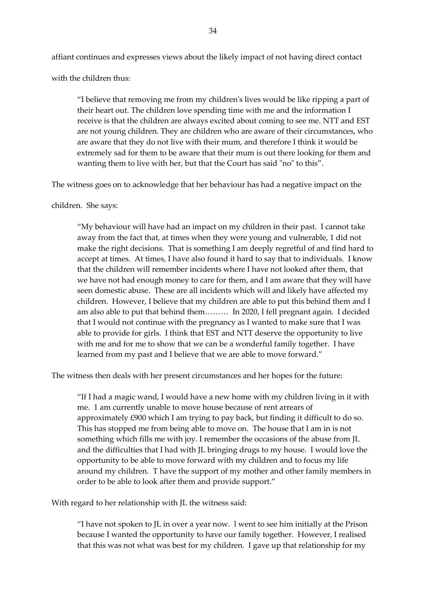affiant continues and expresses views about the likely impact of not having direct contact

with the children thus:

"I believe that removing me from my children's lives would be like ripping a part of their heart out. The children love spending time with me and the information I receive is that the children are always excited about coming to see me. NTT and EST are not young children. They are children who are aware of their circumstances, who are aware that they do not live with their mum, and therefore I think it would be extremely sad for them to be aware that their mum is out there looking for them and wanting them to live with her, but that the Court has said "no" to this".

The witness goes on to acknowledge that her behaviour has had a negative impact on the

# children. She says:

"My behaviour will have had an impact on my children in their past. I cannot take away from the fact that, at times when they were young and vulnerable, 1 did not make the right decisions. That is something I am deeply regretful of and find hard to accept at times. At times, I have also found it hard to say that to individuals. I know that the children will remember incidents where I have not looked after them, that we have not had enough money to care for them, and I am aware that they will have seen domestic abuse. These are all incidents which will and likely have affected my children. However, I believe that my children are able to put this behind them and I am also able to put that behind them……… In 2020, I fell pregnant again. I decided that I would not continue with the pregnancy as I wanted to make sure that I was able to provide for girls. I think that EST and NTT deserve the opportunity to live with me and for me to show that we can be a wonderful family together. I have learned from my past and I believe that we are able to move forward."

The witness then deals with her present circumstances and her hopes for the future:

"If I had a magic wand, I would have a new home with my children living in it with me. 1 am currently unable to move house because of rent arrears of approximately £900 which I am trying to pay back, but finding it difficult to do so. This has stopped me from being able to move on. The house that I am in is not something which fills me with joy. I remember the occasions of the abuse from JL and the difficulties that I had with JL bringing drugs to my house. I would love the opportunity to be able to move forward with my children and to focus my life around my children. T have the support of my mother and other family members in order to be able to look after them and provide support."

With regard to her relationship with JL the witness said:

"I have not spoken to JL in over a year now. l went to see him initially at the Prison because I wanted the opportunity to have our family together. However, I realised that this was not what was best for my children. I gave up that relationship for my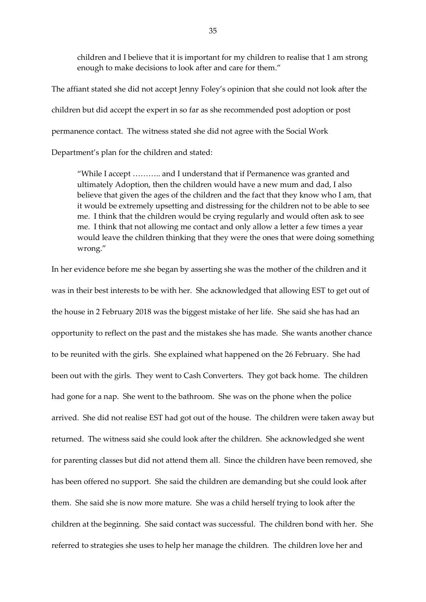children and I believe that it is important for my children to realise that 1 am strong enough to make decisions to look after and care for them."

The affiant stated she did not accept Jenny Foley's opinion that she could not look after the children but did accept the expert in so far as she recommended post adoption or post permanence contact. The witness stated she did not agree with the Social Work

Department's plan for the children and stated:

"While I accept ……….. and I understand that if Permanence was granted and ultimately Adoption, then the children would have a new mum and dad, I also believe that given the ages of the children and the fact that they know who I am, that it would be extremely upsetting and distressing for the children not to be able to see me. I think that the children would be crying regularly and would often ask to see me. I think that not allowing me contact and only allow a letter a few times a year would leave the children thinking that they were the ones that were doing something wrong."

In her evidence before me she began by asserting she was the mother of the children and it was in their best interests to be with her. She acknowledged that allowing EST to get out of the house in 2 February 2018 was the biggest mistake of her life. She said she has had an opportunity to reflect on the past and the mistakes she has made. She wants another chance to be reunited with the girls. She explained what happened on the 26 February. She had been out with the girls. They went to Cash Converters. They got back home. The children had gone for a nap. She went to the bathroom. She was on the phone when the police arrived. She did not realise EST had got out of the house. The children were taken away but returned. The witness said she could look after the children. She acknowledged she went for parenting classes but did not attend them all. Since the children have been removed, she has been offered no support. She said the children are demanding but she could look after them. She said she is now more mature. She was a child herself trying to look after the children at the beginning. She said contact was successful. The children bond with her. She referred to strategies she uses to help her manage the children. The children love her and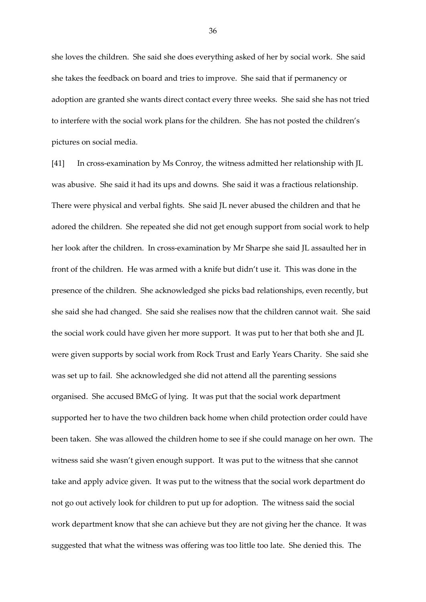she loves the children. She said she does everything asked of her by social work. She said she takes the feedback on board and tries to improve. She said that if permanency or adoption are granted she wants direct contact every three weeks. She said she has not tried to interfere with the social work plans for the children. She has not posted the children's pictures on social media.

[41] In cross-examination by Ms Conroy, the witness admitted her relationship with JL was abusive. She said it had its ups and downs. She said it was a fractious relationship. There were physical and verbal fights. She said JL never abused the children and that he adored the children. She repeated she did not get enough support from social work to help her look after the children. In cross-examination by Mr Sharpe she said JL assaulted her in front of the children. He was armed with a knife but didn't use it. This was done in the presence of the children. She acknowledged she picks bad relationships, even recently, but she said she had changed. She said she realises now that the children cannot wait. She said the social work could have given her more support. It was put to her that both she and JL were given supports by social work from Rock Trust and Early Years Charity. She said she was set up to fail. She acknowledged she did not attend all the parenting sessions organised. She accused BMcG of lying. It was put that the social work department supported her to have the two children back home when child protection order could have been taken. She was allowed the children home to see if she could manage on her own. The witness said she wasn't given enough support. It was put to the witness that she cannot take and apply advice given. It was put to the witness that the social work department do not go out actively look for children to put up for adoption. The witness said the social work department know that she can achieve but they are not giving her the chance. It was suggested that what the witness was offering was too little too late. She denied this. The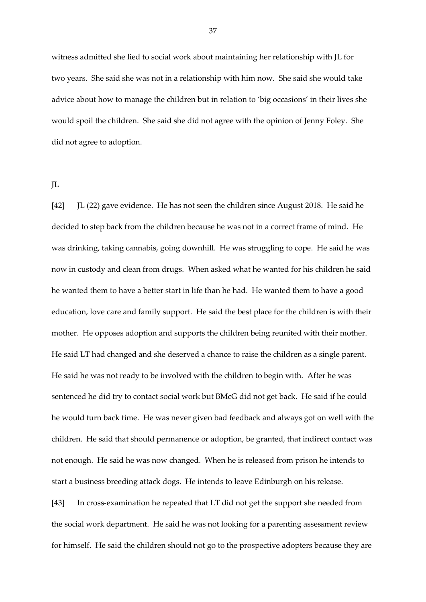witness admitted she lied to social work about maintaining her relationship with JL for two years. She said she was not in a relationship with him now. She said she would take advice about how to manage the children but in relation to 'big occasions' in their lives she would spoil the children. She said she did not agree with the opinion of Jenny Foley. She did not agree to adoption.

JL

[42] JL (22) gave evidence. He has not seen the children since August 2018. He said he decided to step back from the children because he was not in a correct frame of mind. He was drinking, taking cannabis, going downhill. He was struggling to cope. He said he was now in custody and clean from drugs. When asked what he wanted for his children he said he wanted them to have a better start in life than he had. He wanted them to have a good education, love care and family support. He said the best place for the children is with their mother. He opposes adoption and supports the children being reunited with their mother. He said LT had changed and she deserved a chance to raise the children as a single parent. He said he was not ready to be involved with the children to begin with. After he was sentenced he did try to contact social work but BMcG did not get back. He said if he could he would turn back time. He was never given bad feedback and always got on well with the children. He said that should permanence or adoption, be granted, that indirect contact was not enough. He said he was now changed. When he is released from prison he intends to start a business breeding attack dogs. He intends to leave Edinburgh on his release.

[43] In cross-examination he repeated that LT did not get the support she needed from the social work department. He said he was not looking for a parenting assessment review for himself. He said the children should not go to the prospective adopters because they are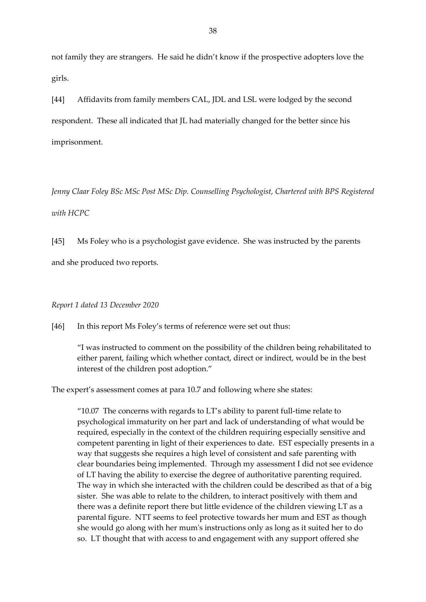not family they are strangers. He said he didn't know if the prospective adopters love the girls.

[44] Affidavits from family members CAL, JDL and LSL were lodged by the second respondent. These all indicated that JL had materially changed for the better since his imprisonment.

*Jenny Claar Foley BSc MSc Post MSc Dip. Counselling Psychologist, Chartered with BPS Registered with HCPC*

[45] Ms Foley who is a psychologist gave evidence. She was instructed by the parents and she produced two reports.

## *Report 1 dated 13 December 2020*

[46] In this report Ms Foley's terms of reference were set out thus:

"I was instructed to comment on the possibility of the children being rehabilitated to either parent, failing which whether contact, direct or indirect, would be in the best interest of the children post adoption."

The expert's assessment comes at para 10.7 and following where she states:

"10.07 The concerns with regards to LT's ability to parent full-time relate to psychological immaturity on her part and lack of understanding of what would be required, especially in the context of the children requiring especially sensitive and competent parenting in light of their experiences to date. EST especially presents in a way that suggests she requires a high level of consistent and safe parenting with clear boundaries being implemented. Through my assessment I did not see evidence of LT having the ability to exercise the degree of authoritative parenting required. The way in which she interacted with the children could be described as that of a big sister. She was able to relate to the children, to interact positively with them and there was a definite report there but little evidence of the children viewing LT as a parental figure. NTT seems to feel protective towards her mum and EST as though she would go along with her mum's instructions only as long as it suited her to do so. LT thought that with access to and engagement with any support offered she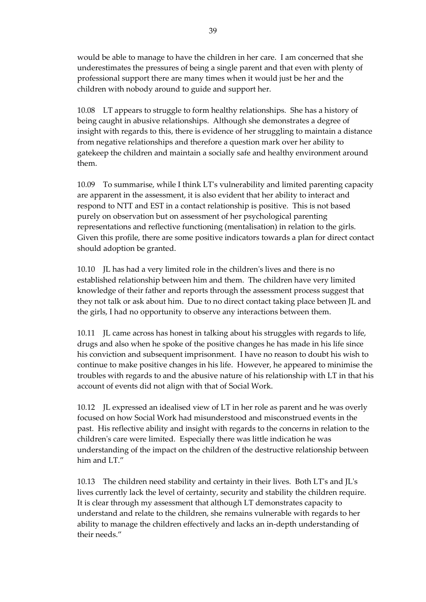would be able to manage to have the children in her care. I am concerned that she underestimates the pressures of being a single parent and that even with plenty of professional support there are many times when it would just be her and the children with nobody around to guide and support her.

10.08 LT appears to struggle to form healthy relationships. She has a history of being caught in abusive relationships. Although she demonstrates a degree of insight with regards to this, there is evidence of her struggling to maintain a distance from negative relationships and therefore a question mark over her ability to gatekeep the children and maintain a socially safe and healthy environment around them.

10.09 To summarise, while I think LT's vulnerability and limited parenting capacity are apparent in the assessment, it is also evident that her ability to interact and respond to NTT and EST in a contact relationship is positive. This is not based purely on observation but on assessment of her psychological parenting representations and reflective functioning (mentalisation) in relation to the girls. Given this profile, there are some positive indicators towards a plan for direct contact should adoption be granted.

10.10 JL has had a very limited role in the children's lives and there is no established relationship between him and them. The children have very limited knowledge of their father and reports through the assessment process suggest that they not talk or ask about him. Due to no direct contact taking place between JL and the girls, I had no opportunity to observe any interactions between them.

10.11 JL came across has honest in talking about his struggles with regards to life, drugs and also when he spoke of the positive changes he has made in his life since his conviction and subsequent imprisonment. I have no reason to doubt his wish to continue to make positive changes in his life. However, he appeared to minimise the troubles with regards to and the abusive nature of his relationship with LT in that his account of events did not align with that of Social Work.

10.12 JL expressed an idealised view of LT in her role as parent and he was overly focused on how Social Work had misunderstood and misconstrued events in the past. His reflective ability and insight with regards to the concerns in relation to the children's care were limited. Especially there was little indication he was understanding of the impact on the children of the destructive relationship between him and LT."

10.13 The children need stability and certainty in their lives. Both LT's and JL's lives currently lack the level of certainty, security and stability the children require. It is clear through my assessment that although LT demonstrates capacity to understand and relate to the children, she remains vulnerable with regards to her ability to manage the children effectively and lacks an in-depth understanding of their needs."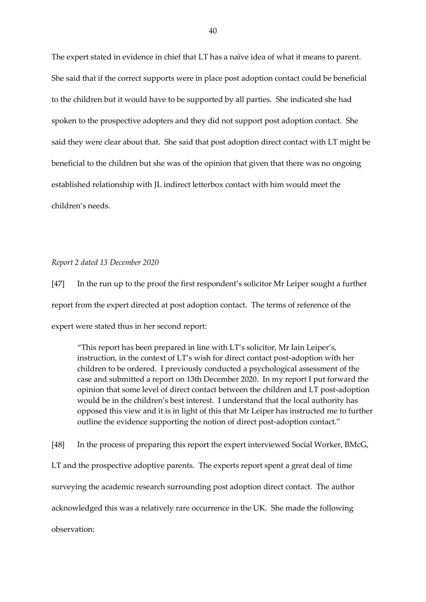The expert stated in evidence in chief that LT has a naïve idea of what it means to parent. She said that if the correct supports were in place post adoption contact could be beneficial to the children but it would have to be supported by all parties. She indicated she had spoken to the prospective adopters and they did not support post adoption contact. She said they were clear about that. She said that post adoption direct contact with LT might be beneficial to the children but she was of the opinion that given that there was no ongoing established relationship with JL indirect letterbox contact with him would meet the children's needs.

*Report 2 dated 13 December 2020*

[47] In the run up to the proof the first respondent's solicitor Mr Leiper sought a further report from the expert directed at post adoption contact. The terms of reference of the expert were stated thus in her second report:

"This report has been prepared in line with LT's solicitor, Mr Iain Leiper's, instruction, in the context of LT's wish for direct contact post-adoption with her children to be ordered. I previously conducted a psychological assessment of the case and submitted a report on 13th December 2020. In my report I put forward the opinion that some level of direct contact between the children and LT post-adoption would be in the children's best interest. I understand that the local authority has opposed this view and it is in light of this that Mr Leiper has instructed me to further outline the evidence supporting the notion of direct post-adoption contact."

[48] In the process of preparing this report the expert interviewed Social Worker, BMcG, LT and the prospective adoptive parents. The experts report spent a great deal of time surveying the academic research surrounding post adoption direct contact. The author acknowledged this was a relatively rare occurrence in the UK. She made the following observation: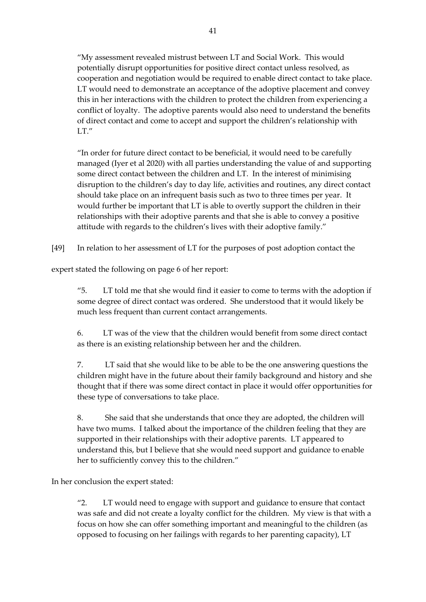"My assessment revealed mistrust between LT and Social Work. This would potentially disrupt opportunities for positive direct contact unless resolved, as cooperation and negotiation would be required to enable direct contact to take place. LT would need to demonstrate an acceptance of the adoptive placement and convey this in her interactions with the children to protect the children from experiencing a conflict of loyalty. The adoptive parents would also need to understand the benefits of direct contact and come to accept and support the children's relationship with  $LT''$ 

"In order for future direct contact to be beneficial, it would need to be carefully managed (Iyer et al 2020) with all parties understanding the value of and supporting some direct contact between the children and LT. In the interest of minimising disruption to the children's day to day life, activities and routines, any direct contact should take place on an infrequent basis such as two to three times per year. It would further be important that LT is able to overtly support the children in their relationships with their adoptive parents and that she is able to convey a positive attitude with regards to the children's lives with their adoptive family."

[49] In relation to her assessment of LT for the purposes of post adoption contact the

expert stated the following on page 6 of her report:

"5. LT told me that she would find it easier to come to terms with the adoption if some degree of direct contact was ordered. She understood that it would likely be much less frequent than current contact arrangements.

6. LT was of the view that the children would benefit from some direct contact as there is an existing relationship between her and the children.

7. LT said that she would like to be able to be the one answering questions the children might have in the future about their family background and history and she thought that if there was some direct contact in place it would offer opportunities for these type of conversations to take place.

8. She said that she understands that once they are adopted, the children will have two mums. I talked about the importance of the children feeling that they are supported in their relationships with their adoptive parents. LT appeared to understand this, but I believe that she would need support and guidance to enable her to sufficiently convey this to the children."

In her conclusion the expert stated:

"2. LT would need to engage with support and guidance to ensure that contact was safe and did not create a loyalty conflict for the children. My view is that with a focus on how she can offer something important and meaningful to the children (as opposed to focusing on her failings with regards to her parenting capacity), LT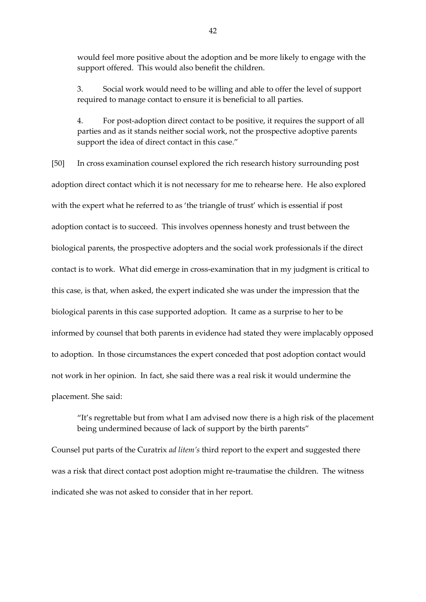would feel more positive about the adoption and be more likely to engage with the support offered. This would also benefit the children.

3. Social work would need to be willing and able to offer the level of support required to manage contact to ensure it is beneficial to all parties.

4. For post-adoption direct contact to be positive, it requires the support of all parties and as it stands neither social work, not the prospective adoptive parents support the idea of direct contact in this case."

[50] In cross examination counsel explored the rich research history surrounding post adoption direct contact which it is not necessary for me to rehearse here. He also explored with the expert what he referred to as 'the triangle of trust' which is essential if post adoption contact is to succeed. This involves openness honesty and trust between the biological parents, the prospective adopters and the social work professionals if the direct contact is to work. What did emerge in cross-examination that in my judgment is critical to this case, is that, when asked, the expert indicated she was under the impression that the biological parents in this case supported adoption. It came as a surprise to her to be informed by counsel that both parents in evidence had stated they were implacably opposed to adoption. In those circumstances the expert conceded that post adoption contact would not work in her opinion. In fact, she said there was a real risk it would undermine the placement. She said:

"It's regrettable but from what I am advised now there is a high risk of the placement being undermined because of lack of support by the birth parents"

Counsel put parts of the Curatrix *ad litem's* third report to the expert and suggested there was a risk that direct contact post adoption might re-traumatise the children. The witness indicated she was not asked to consider that in her report.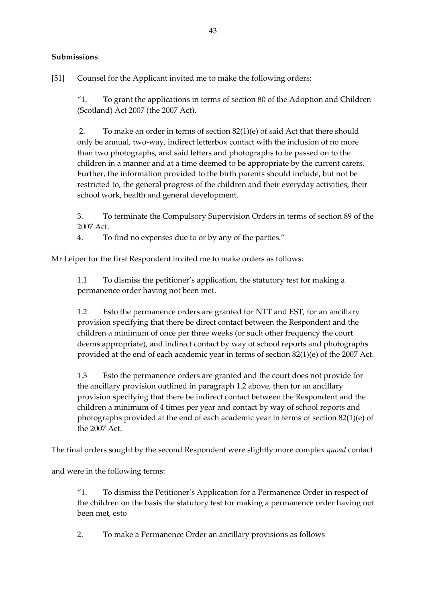# **Submissions**

[51] Counsel for the Applicant invited me to make the following orders:

"1. To grant the applications in terms of section 80 of the Adoption and Children (Scotland) Act 2007 (the 2007 Act).

2. To make an order in terms of section 82(1)(e) of said Act that there should only be annual, two-way, indirect letterbox contact with the inclusion of no more than two photographs, and said letters and photographs to be passed on to the children in a manner and at a time deemed to be appropriate by the current carers. Further, the information provided to the birth parents should include, but not be restricted to, the general progress of the children and their everyday activities, their school work, health and general development.

3. To terminate the Compulsory Supervision Orders in terms of section 89 of the 2007 Act.

4. To find no expenses due to or by any of the parties."

Mr Leiper for the first Respondent invited me to make orders as follows:

1.1 To dismiss the petitioner's application, the statutory test for making a permanence order having not been met.

1.2 Esto the permanence orders are granted for NTT and EST, for an ancillary provision specifying that there be direct contact between the Respondent and the children a minimum of once per three weeks (or such other frequency the court deems appropriate), and indirect contact by way of school reports and photographs provided at the end of each academic year in terms of section 82(1)(e) of the 2007 Act.

1.3 Esto the permanence orders are granted and the court does not provide for the ancillary provision outlined in paragraph 1.2 above, then for an ancillary provision specifying that there be indirect contact between the Respondent and the children a minimum of 4 times per year and contact by way of school reports and photographs provided at the end of each academic year in terms of section 82(1)(e) of the 2007 Act.

The final orders sought by the second Respondent were slightly more complex *quoad* contact

and were in the following terms:

"1. To dismiss the Petitioner's Application for a Permanence Order in respect of the children on the basis the statutory test for making a permanence order having not been met, esto

2. To make a Permanence Order an ancillary provisions as follows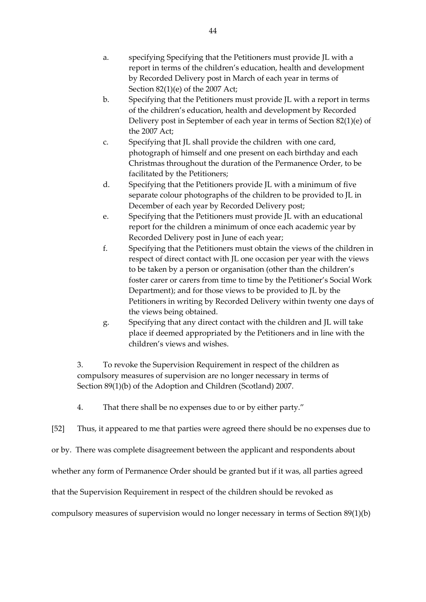- a. specifying Specifying that the Petitioners must provide JL with a report in terms of the children's education, health and development by Recorded Delivery post in March of each year in terms of Section 82(1)(e) of the 2007 Act;
- b. Specifying that the Petitioners must provide JL with a report in terms of the children's education, health and development by Recorded Delivery post in September of each year in terms of Section 82(1)(e) of the 2007 Act;
- c. Specifying that JL shall provide the children with one card, photograph of himself and one present on each birthday and each Christmas throughout the duration of the Permanence Order, to be facilitated by the Petitioners;
- d. Specifying that the Petitioners provide JL with a minimum of five separate colour photographs of the children to be provided to JL in December of each year by Recorded Delivery post;
- e. Specifying that the Petitioners must provide JL with an educational report for the children a minimum of once each academic year by Recorded Delivery post in June of each year;
- f. Specifying that the Petitioners must obtain the views of the children in respect of direct contact with JL one occasion per year with the views to be taken by a person or organisation (other than the children's foster carer or carers from time to time by the Petitioner's Social Work Department); and for those views to be provided to JL by the Petitioners in writing by Recorded Delivery within twenty one days of the views being obtained.
- g. Specifying that any direct contact with the children and JL will take place if deemed appropriated by the Petitioners and in line with the children's views and wishes.

3. To revoke the Supervision Requirement in respect of the children as compulsory measures of supervision are no longer necessary in terms of Section 89(1)(b) of the Adoption and Children (Scotland) 2007.

4. That there shall be no expenses due to or by either party."

[52] Thus, it appeared to me that parties were agreed there should be no expenses due to

or by. There was complete disagreement between the applicant and respondents about

whether any form of Permanence Order should be granted but if it was, all parties agreed

that the Supervision Requirement in respect of the children should be revoked as

compulsory measures of supervision would no longer necessary in terms of Section 89(1)(b)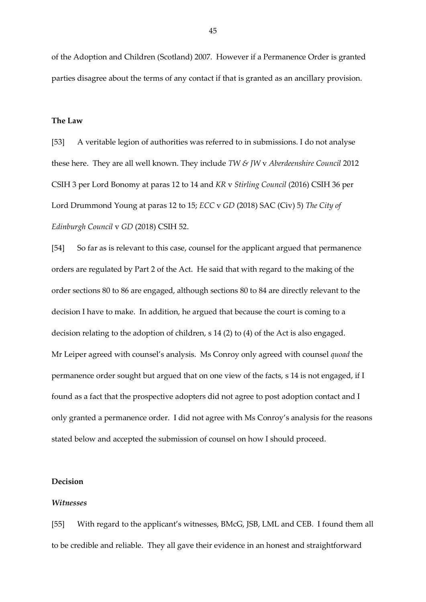of the Adoption and Children (Scotland) 2007. However if a Permanence Order is granted parties disagree about the terms of any contact if that is granted as an ancillary provision.

## **The Law**

[53] A veritable legion of authorities was referred to in submissions. I do not analyse these here. They are all well known. They include *TW & JW* v *Aberdeenshire Council* 2012 CSIH 3 per Lord Bonomy at paras 12 to 14 and *KR* v *Stirling Council* (2016) CSIH 36 per Lord Drummond Young at paras 12 to 15; *ECC* v *GD* (2018) SAC (Civ) 5) *The City of Edinburgh Council* v *GD* (2018) CSIH 52.

[54] So far as is relevant to this case, counsel for the applicant argued that permanence orders are regulated by Part 2 of the Act. He said that with regard to the making of the order sections 80 to 86 are engaged, although sections 80 to 84 are directly relevant to the decision I have to make. In addition, he argued that because the court is coming to a decision relating to the adoption of children, s 14 (2) to (4) of the Act is also engaged. Mr Leiper agreed with counsel's analysis. Ms Conroy only agreed with counsel *quoad* the permanence order sought but argued that on one view of the facts, s 14 is not engaged, if I found as a fact that the prospective adopters did not agree to post adoption contact and I only granted a permanence order. I did not agree with Ms Conroy's analysis for the reasons stated below and accepted the submission of counsel on how I should proceed.

# **Decision**

#### *Witnesses*

[55] With regard to the applicant's witnesses, BMcG, JSB, LML and CEB. I found them all to be credible and reliable. They all gave their evidence in an honest and straightforward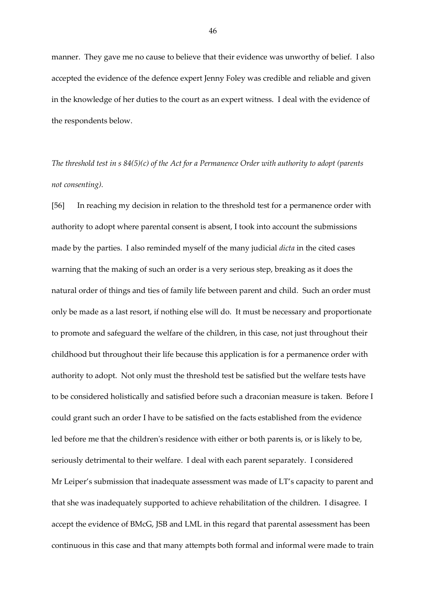manner. They gave me no cause to believe that their evidence was unworthy of belief. I also accepted the evidence of the defence expert Jenny Foley was credible and reliable and given in the knowledge of her duties to the court as an expert witness. I deal with the evidence of the respondents below.

*The threshold test in s 84(5)(c) of the Act for a Permanence Order with authority to adopt (parents not consenting).*

[56] In reaching my decision in relation to the threshold test for a permanence order with authority to adopt where parental consent is absent, I took into account the submissions made by the parties. I also reminded myself of the many judicial *dicta* in the cited cases warning that the making of such an order is a very serious step, breaking as it does the natural order of things and ties of family life between parent and child. Such an order must only be made as a last resort, if nothing else will do. It must be necessary and proportionate to promote and safeguard the welfare of the children, in this case, not just throughout their childhood but throughout their life because this application is for a permanence order with authority to adopt. Not only must the threshold test be satisfied but the welfare tests have to be considered holistically and satisfied before such a draconian measure is taken. Before I could grant such an order I have to be satisfied on the facts established from the evidence led before me that the children's residence with either or both parents is, or is likely to be, seriously detrimental to their welfare. I deal with each parent separately. I considered Mr Leiper's submission that inadequate assessment was made of LT's capacity to parent and that she was inadequately supported to achieve rehabilitation of the children. I disagree. I accept the evidence of BMcG, JSB and LML in this regard that parental assessment has been continuous in this case and that many attempts both formal and informal were made to train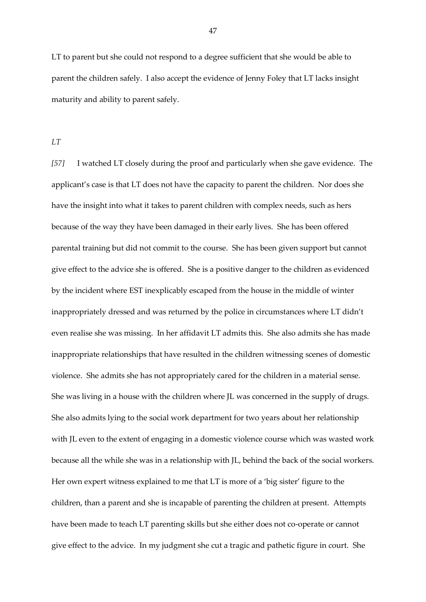LT to parent but she could not respond to a degree sufficient that she would be able to parent the children safely. I also accept the evidence of Jenny Foley that LT lacks insight maturity and ability to parent safely.

*LT*

*[57]* I watched LT closely during the proof and particularly when she gave evidence. The applicant's case is that LT does not have the capacity to parent the children. Nor does she have the insight into what it takes to parent children with complex needs, such as hers because of the way they have been damaged in their early lives. She has been offered parental training but did not commit to the course. She has been given support but cannot give effect to the advice she is offered. She is a positive danger to the children as evidenced by the incident where EST inexplicably escaped from the house in the middle of winter inappropriately dressed and was returned by the police in circumstances where LT didn't even realise she was missing. In her affidavit LT admits this. She also admits she has made inappropriate relationships that have resulted in the children witnessing scenes of domestic violence. She admits she has not appropriately cared for the children in a material sense. She was living in a house with the children where JL was concerned in the supply of drugs. She also admits lying to the social work department for two years about her relationship with JL even to the extent of engaging in a domestic violence course which was wasted work because all the while she was in a relationship with JL, behind the back of the social workers. Her own expert witness explained to me that LT is more of a 'big sister' figure to the children, than a parent and she is incapable of parenting the children at present. Attempts have been made to teach LT parenting skills but she either does not co-operate or cannot give effect to the advice. In my judgment she cut a tragic and pathetic figure in court. She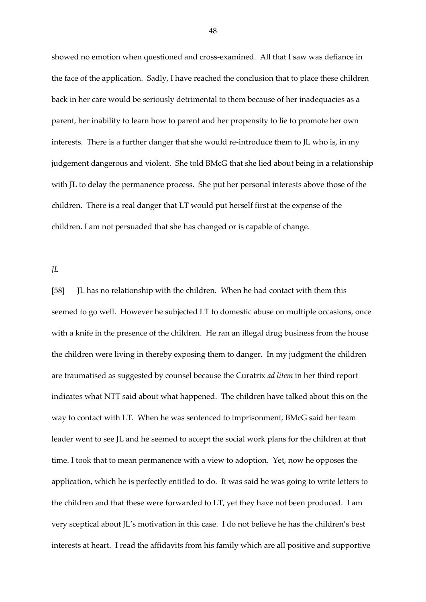showed no emotion when questioned and cross-examined. All that I saw was defiance in the face of the application. Sadly, I have reached the conclusion that to place these children back in her care would be seriously detrimental to them because of her inadequacies as a parent, her inability to learn how to parent and her propensity to lie to promote her own interests. There is a further danger that she would re-introduce them to JL who is, in my judgement dangerous and violent. She told BMcG that she lied about being in a relationship with JL to delay the permanence process. She put her personal interests above those of the children. There is a real danger that LT would put herself first at the expense of the children. I am not persuaded that she has changed or is capable of change.

*JL*

[58] JL has no relationship with the children. When he had contact with them this seemed to go well. However he subjected LT to domestic abuse on multiple occasions, once with a knife in the presence of the children. He ran an illegal drug business from the house the children were living in thereby exposing them to danger. In my judgment the children are traumatised as suggested by counsel because the Curatrix *ad litem* in her third report indicates what NTT said about what happened. The children have talked about this on the way to contact with LT. When he was sentenced to imprisonment, BMcG said her team leader went to see JL and he seemed to accept the social work plans for the children at that time. I took that to mean permanence with a view to adoption. Yet, now he opposes the application, which he is perfectly entitled to do. It was said he was going to write letters to the children and that these were forwarded to LT, yet they have not been produced. I am very sceptical about JL's motivation in this case. I do not believe he has the children's best interests at heart. I read the affidavits from his family which are all positive and supportive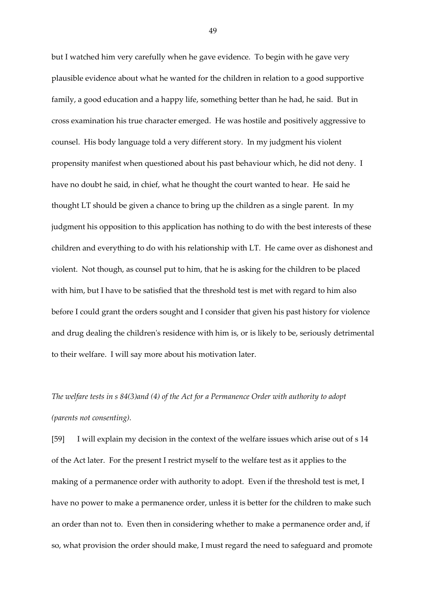but I watched him very carefully when he gave evidence. To begin with he gave very plausible evidence about what he wanted for the children in relation to a good supportive family, a good education and a happy life, something better than he had, he said. But in cross examination his true character emerged. He was hostile and positively aggressive to counsel. His body language told a very different story. In my judgment his violent propensity manifest when questioned about his past behaviour which, he did not deny. I have no doubt he said, in chief, what he thought the court wanted to hear. He said he thought LT should be given a chance to bring up the children as a single parent. In my judgment his opposition to this application has nothing to do with the best interests of these children and everything to do with his relationship with LT. He came over as dishonest and violent. Not though, as counsel put to him, that he is asking for the children to be placed with him, but I have to be satisfied that the threshold test is met with regard to him also before I could grant the orders sought and I consider that given his past history for violence and drug dealing the children's residence with him is, or is likely to be, seriously detrimental to their welfare. I will say more about his motivation later.

# *The welfare tests in s 84(3)and (4) of the Act for a Permanence Order with authority to adopt (parents not consenting).*

[59] I will explain my decision in the context of the welfare issues which arise out of s 14 of the Act later. For the present I restrict myself to the welfare test as it applies to the making of a permanence order with authority to adopt. Even if the threshold test is met, I have no power to make a permanence order, unless it is better for the children to make such an order than not to. Even then in considering whether to make a permanence order and, if so, what provision the order should make, I must regard the need to safeguard and promote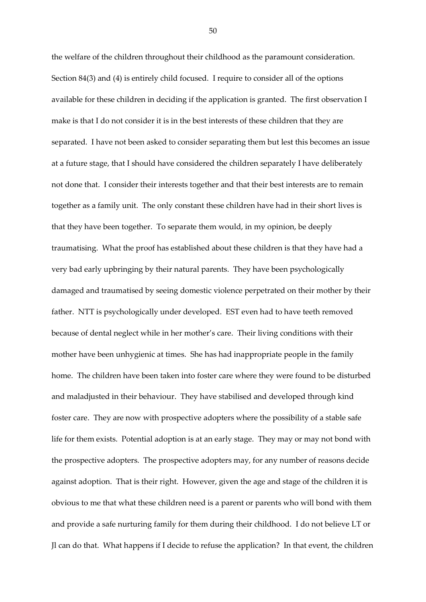the welfare of the children throughout their childhood as the paramount consideration. Section 84(3) and (4) is entirely child focused. I require to consider all of the options available for these children in deciding if the application is granted. The first observation I make is that I do not consider it is in the best interests of these children that they are separated. I have not been asked to consider separating them but lest this becomes an issue at a future stage, that I should have considered the children separately I have deliberately not done that. I consider their interests together and that their best interests are to remain together as a family unit. The only constant these children have had in their short lives is that they have been together. To separate them would, in my opinion, be deeply traumatising. What the proof has established about these children is that they have had a very bad early upbringing by their natural parents. They have been psychologically damaged and traumatised by seeing domestic violence perpetrated on their mother by their father. NTT is psychologically under developed. EST even had to have teeth removed because of dental neglect while in her mother's care. Their living conditions with their mother have been unhygienic at times. She has had inappropriate people in the family home. The children have been taken into foster care where they were found to be disturbed and maladjusted in their behaviour. They have stabilised and developed through kind foster care. They are now with prospective adopters where the possibility of a stable safe life for them exists. Potential adoption is at an early stage. They may or may not bond with the prospective adopters. The prospective adopters may, for any number of reasons decide against adoption. That is their right. However, given the age and stage of the children it is obvious to me that what these children need is a parent or parents who will bond with them and provide a safe nurturing family for them during their childhood. I do not believe LT or Jl can do that. What happens if I decide to refuse the application? In that event, the children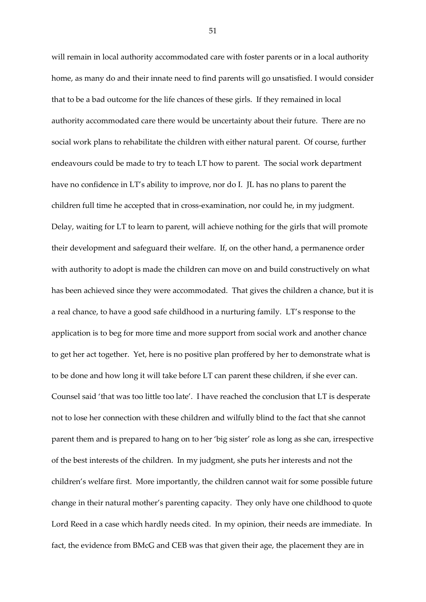will remain in local authority accommodated care with foster parents or in a local authority home, as many do and their innate need to find parents will go unsatisfied. I would consider that to be a bad outcome for the life chances of these girls. If they remained in local authority accommodated care there would be uncertainty about their future. There are no social work plans to rehabilitate the children with either natural parent. Of course, further endeavours could be made to try to teach LT how to parent. The social work department have no confidence in LT's ability to improve, nor do I. JL has no plans to parent the children full time he accepted that in cross-examination, nor could he, in my judgment. Delay, waiting for LT to learn to parent, will achieve nothing for the girls that will promote their development and safeguard their welfare. If, on the other hand, a permanence order with authority to adopt is made the children can move on and build constructively on what has been achieved since they were accommodated. That gives the children a chance, but it is a real chance, to have a good safe childhood in a nurturing family. LT's response to the application is to beg for more time and more support from social work and another chance to get her act together. Yet, here is no positive plan proffered by her to demonstrate what is to be done and how long it will take before LT can parent these children, if she ever can. Counsel said 'that was too little too late'. I have reached the conclusion that LT is desperate not to lose her connection with these children and wilfully blind to the fact that she cannot parent them and is prepared to hang on to her 'big sister' role as long as she can, irrespective of the best interests of the children. In my judgment, she puts her interests and not the children's welfare first. More importantly, the children cannot wait for some possible future change in their natural mother's parenting capacity. They only have one childhood to quote Lord Reed in a case which hardly needs cited. In my opinion, their needs are immediate. In fact, the evidence from BMcG and CEB was that given their age, the placement they are in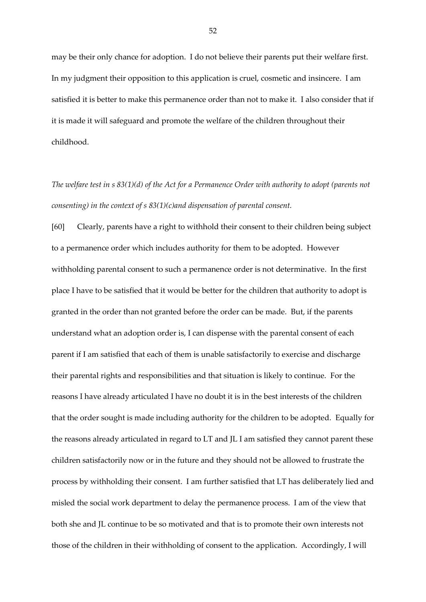may be their only chance for adoption. I do not believe their parents put their welfare first. In my judgment their opposition to this application is cruel, cosmetic and insincere. I am satisfied it is better to make this permanence order than not to make it. I also consider that if it is made it will safeguard and promote the welfare of the children throughout their childhood.

*The welfare test in s 83(1)(d) of the Act for a Permanence Order with authority to adopt (parents not consenting) in the context of s 83(1)(c)and dispensation of parental consent.*

[60] Clearly, parents have a right to withhold their consent to their children being subject to a permanence order which includes authority for them to be adopted. However withholding parental consent to such a permanence order is not determinative. In the first place I have to be satisfied that it would be better for the children that authority to adopt is granted in the order than not granted before the order can be made. But, if the parents understand what an adoption order is, I can dispense with the parental consent of each parent if I am satisfied that each of them is unable satisfactorily to exercise and discharge their parental rights and responsibilities and that situation is likely to continue. For the reasons I have already articulated I have no doubt it is in the best interests of the children that the order sought is made including authority for the children to be adopted. Equally for the reasons already articulated in regard to LT and JL I am satisfied they cannot parent these children satisfactorily now or in the future and they should not be allowed to frustrate the process by withholding their consent. I am further satisfied that LT has deliberately lied and misled the social work department to delay the permanence process. I am of the view that both she and JL continue to be so motivated and that is to promote their own interests not those of the children in their withholding of consent to the application. Accordingly, I will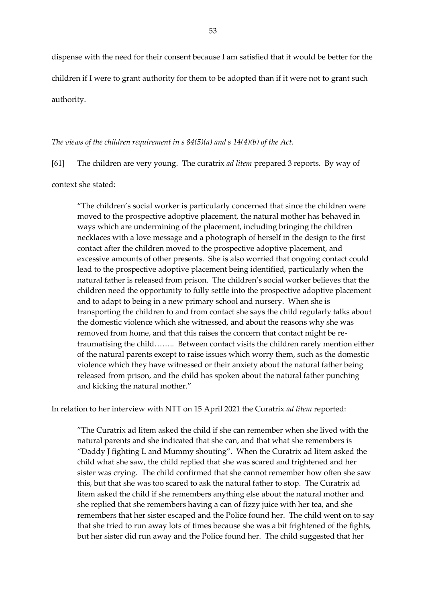dispense with the need for their consent because I am satisfied that it would be better for the children if I were to grant authority for them to be adopted than if it were not to grant such authority.

### *The views of the children requirement in s 84(5)(a) and s 14(4)(b) of the Act.*

[61] The children are very young. The curatrix *ad litem* prepared 3 reports. By way of

context she stated:

"The children's social worker is particularly concerned that since the children were moved to the prospective adoptive placement, the natural mother has behaved in ways which are undermining of the placement, including bringing the children necklaces with a love message and a photograph of herself in the design to the first contact after the children moved to the prospective adoptive placement, and excessive amounts of other presents. She is also worried that ongoing contact could lead to the prospective adoptive placement being identified, particularly when the natural father is released from prison. The children's social worker believes that the children need the opportunity to fully settle into the prospective adoptive placement and to adapt to being in a new primary school and nursery. When she is transporting the children to and from contact she says the child regularly talks about the domestic violence which she witnessed, and about the reasons why she was removed from home, and that this raises the concern that contact might be retraumatising the child…….. Between contact visits the children rarely mention either of the natural parents except to raise issues which worry them, such as the domestic violence which they have witnessed or their anxiety about the natural father being released from prison, and the child has spoken about the natural father punching and kicking the natural mother."

In relation to her interview with NTT on 15 April 2021 the Curatrix *ad litem* reported:

"The Curatrix ad litem asked the child if she can remember when she lived with the natural parents and she indicated that she can, and that what she remembers is "Daddy J fighting L and Mummy shouting". When the Curatrix ad litem asked the child what she saw, the child replied that she was scared and frightened and her sister was crying. The child confirmed that she cannot remember how often she saw this, but that she was too scared to ask the natural father to stop. The Curatrix ad litem asked the child if she remembers anything else about the natural mother and she replied that she remembers having a can of fizzy juice with her tea, and she remembers that her sister escaped and the Police found her. The child went on to say that she tried to run away lots of times because she was a bit frightened of the fights, but her sister did run away and the Police found her. The child suggested that her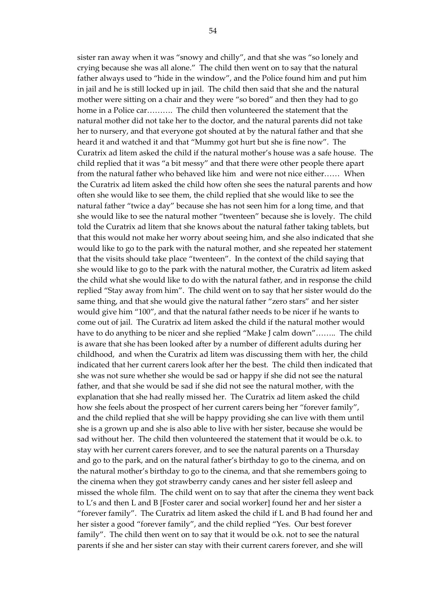sister ran away when it was "snowy and chilly", and that she was "so lonely and crying because she was all alone." The child then went on to say that the natural father always used to "hide in the window", and the Police found him and put him in jail and he is still locked up in jail. The child then said that she and the natural mother were sitting on a chair and they were "so bored" and then they had to go home in a Police car………. The child then volunteered the statement that the natural mother did not take her to the doctor, and the natural parents did not take her to nursery, and that everyone got shouted at by the natural father and that she heard it and watched it and that "Mummy got hurt but she is fine now". The Curatrix ad litem asked the child if the natural mother's house was a safe house. The child replied that it was "a bit messy" and that there were other people there apart from the natural father who behaved like him and were not nice either…… When the Curatrix ad litem asked the child how often she sees the natural parents and how often she would like to see them, the child replied that she would like to see the natural father "twice a day" because she has not seen him for a long time, and that she would like to see the natural mother "twenteen" because she is lovely. The child told the Curatrix ad litem that she knows about the natural father taking tablets, but that this would not make her worry about seeing him, and she also indicated that she would like to go to the park with the natural mother, and she repeated her statement that the visits should take place "twenteen". In the context of the child saying that she would like to go to the park with the natural mother, the Curatrix ad litem asked the child what she would like to do with the natural father, and in response the child replied "Stay away from him". The child went on to say that her sister would do the same thing, and that she would give the natural father "zero stars" and her sister would give him "100", and that the natural father needs to be nicer if he wants to come out of jail. The Curatrix ad litem asked the child if the natural mother would have to do anything to be nicer and she replied "Make J calm down"…….. The child is aware that she has been looked after by a number of different adults during her childhood, and when the Curatrix ad litem was discussing them with her, the child indicated that her current carers look after her the best. The child then indicated that she was not sure whether she would be sad or happy if she did not see the natural father, and that she would be sad if she did not see the natural mother, with the explanation that she had really missed her. The Curatrix ad litem asked the child how she feels about the prospect of her current carers being her "forever family", and the child replied that she will be happy providing she can live with them until she is a grown up and she is also able to live with her sister, because she would be sad without her. The child then volunteered the statement that it would be o.k. to stay with her current carers forever, and to see the natural parents on a Thursday and go to the park, and on the natural father's birthday to go to the cinema, and on the natural mother's birthday to go to the cinema, and that she remembers going to the cinema when they got strawberry candy canes and her sister fell asleep and missed the whole film. The child went on to say that after the cinema they went back to L's and then L and B [Foster carer and social worker] found her and her sister a "forever family". The Curatrix ad litem asked the child if L and B had found her and her sister a good "forever family", and the child replied "Yes. Our best forever family". The child then went on to say that it would be o.k. not to see the natural parents if she and her sister can stay with their current carers forever, and she will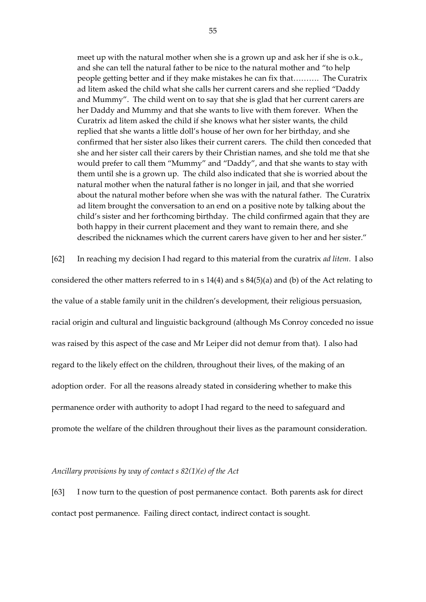meet up with the natural mother when she is a grown up and ask her if she is o.k., and she can tell the natural father to be nice to the natural mother and "to help people getting better and if they make mistakes he can fix that………. The Curatrix ad litem asked the child what she calls her current carers and she replied "Daddy and Mummy". The child went on to say that she is glad that her current carers are her Daddy and Mummy and that she wants to live with them forever. When the Curatrix ad litem asked the child if she knows what her sister wants, the child replied that she wants a little doll's house of her own for her birthday, and she confirmed that her sister also likes their current carers. The child then conceded that she and her sister call their carers by their Christian names, and she told me that she would prefer to call them "Mummy" and "Daddy", and that she wants to stay with them until she is a grown up. The child also indicated that she is worried about the natural mother when the natural father is no longer in jail, and that she worried about the natural mother before when she was with the natural father. The Curatrix ad litem brought the conversation to an end on a positive note by talking about the child's sister and her forthcoming birthday. The child confirmed again that they are both happy in their current placement and they want to remain there, and she described the nicknames which the current carers have given to her and her sister."

[62] In reaching my decision I had regard to this material from the curatrix *ad litem*. I also considered the other matters referred to in s 14(4) and s 84(5)(a) and (b) of the Act relating to the value of a stable family unit in the children's development, their religious persuasion, racial origin and cultural and linguistic background (although Ms Conroy conceded no issue was raised by this aspect of the case and Mr Leiper did not demur from that). I also had regard to the likely effect on the children, throughout their lives, of the making of an adoption order. For all the reasons already stated in considering whether to make this permanence order with authority to adopt I had regard to the need to safeguard and promote the welfare of the children throughout their lives as the paramount consideration.

#### *Ancillary provisions by way of contact s 82(1)(e) of the Act*

[63] I now turn to the question of post permanence contact. Both parents ask for direct contact post permanence. Failing direct contact, indirect contact is sought.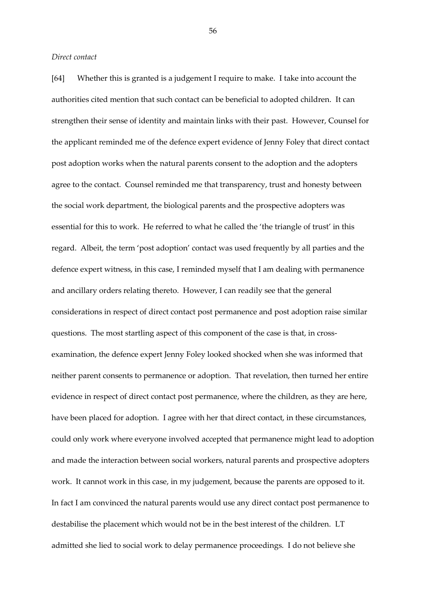*Direct contact*

[64] Whether this is granted is a judgement I require to make. I take into account the authorities cited mention that such contact can be beneficial to adopted children. It can strengthen their sense of identity and maintain links with their past. However, Counsel for the applicant reminded me of the defence expert evidence of Jenny Foley that direct contact post adoption works when the natural parents consent to the adoption and the adopters agree to the contact. Counsel reminded me that transparency, trust and honesty between the social work department, the biological parents and the prospective adopters was essential for this to work. He referred to what he called the 'the triangle of trust' in this regard. Albeit, the term 'post adoption' contact was used frequently by all parties and the defence expert witness, in this case, I reminded myself that I am dealing with permanence and ancillary orders relating thereto. However, I can readily see that the general considerations in respect of direct contact post permanence and post adoption raise similar questions. The most startling aspect of this component of the case is that, in crossexamination, the defence expert Jenny Foley looked shocked when she was informed that neither parent consents to permanence or adoption. That revelation, then turned her entire evidence in respect of direct contact post permanence, where the children, as they are here, have been placed for adoption. I agree with her that direct contact, in these circumstances, could only work where everyone involved accepted that permanence might lead to adoption and made the interaction between social workers, natural parents and prospective adopters work. It cannot work in this case, in my judgement, because the parents are opposed to it. In fact I am convinced the natural parents would use any direct contact post permanence to destabilise the placement which would not be in the best interest of the children. LT admitted she lied to social work to delay permanence proceedings. I do not believe she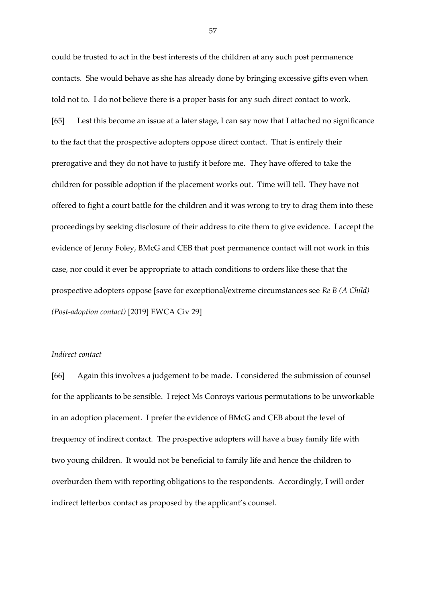could be trusted to act in the best interests of the children at any such post permanence contacts. She would behave as she has already done by bringing excessive gifts even when told not to. I do not believe there is a proper basis for any such direct contact to work. [65] Lest this become an issue at a later stage, I can say now that I attached no significance to the fact that the prospective adopters oppose direct contact. That is entirely their prerogative and they do not have to justify it before me. They have offered to take the children for possible adoption if the placement works out. Time will tell. They have not offered to fight a court battle for the children and it was wrong to try to drag them into these proceedings by seeking disclosure of their address to cite them to give evidence. I accept the evidence of Jenny Foley, BMcG and CEB that post permanence contact will not work in this case, nor could it ever be appropriate to attach conditions to orders like these that the prospective adopters oppose [save for exceptional/extreme circumstances see *Re B (A Child) (Post-adoption contact)* [2019] EWCA Civ 29]

# *Indirect contact*

[66] Again this involves a judgement to be made. I considered the submission of counsel for the applicants to be sensible. I reject Ms Conroys various permutations to be unworkable in an adoption placement. I prefer the evidence of BMcG and CEB about the level of frequency of indirect contact. The prospective adopters will have a busy family life with two young children. It would not be beneficial to family life and hence the children to overburden them with reporting obligations to the respondents. Accordingly, I will order indirect letterbox contact as proposed by the applicant's counsel.